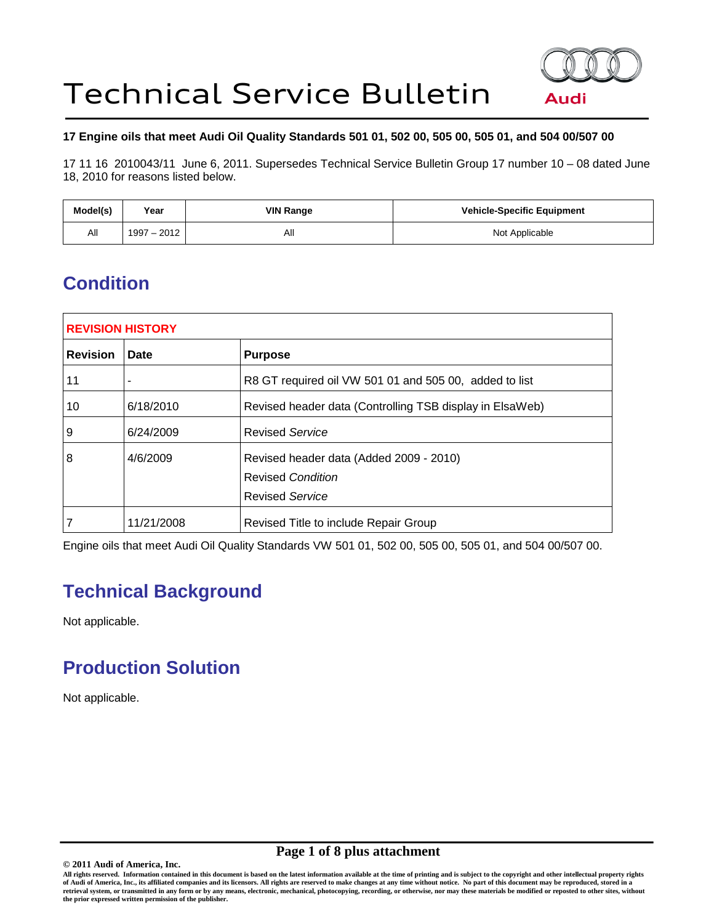

### **17 Engine oils that meet Audi Oil Quality Standards 501 01, 502 00, 505 00, 505 01, and 504 00/507 00**

17 11 16 2010043/11 June 6, 2011. Supersedes Technical Service Bulletin Group 17 number 10 – 08 dated June 18, 2010 for reasons listed below.

| Model(s) | Year        | <b>VIN Range</b> | <b>Vehicle-Specific Equipment</b> |
|----------|-------------|------------------|-----------------------------------|
| All      | 1997 - 2012 | All              | Not Applicable                    |

# **Condition**

| <b>REVISION HISTORY</b> |            |                                                                                               |  |
|-------------------------|------------|-----------------------------------------------------------------------------------------------|--|
| <b>Revision</b>         | Date       | <b>Purpose</b>                                                                                |  |
| 11                      |            | R8 GT required oil VW 501 01 and 505 00, added to list                                        |  |
| 10                      | 6/18/2010  | Revised header data (Controlling TSB display in ElsaWeb)                                      |  |
| 9                       | 6/24/2009  | <b>Revised Service</b>                                                                        |  |
| 8                       | 4/6/2009   | Revised header data (Added 2009 - 2010)<br><b>Revised Condition</b><br><b>Revised Service</b> |  |
| 7                       | 11/21/2008 | Revised Title to include Repair Group                                                         |  |

Engine oils that meet Audi Oil Quality Standards VW 501 01, 502 00, 505 00, 505 01, and 504 00/507 00.

# **Technical Background**

Not applicable.

# **Production Solution**

Not applicable.

# **Page 1 of 8 plus attachment**

**All rights reserved. Information contained in this document is based on the latest information available at the time of printing and is subject to the copyright and other intellectual property rights of Audi of America, Inc., its affiliated companies and its licensors. All rights are reserved to make changes at any time without notice. No part of this document may be reproduced, stored in a retrieval system, or transmitted in any form or by any means, electronic, mechanical, photocopying, recording, or otherwise, nor may these materials be modified or reposted to other sites, without the prior expressed written permission of the publisher.** 

**<sup>© 2011</sup> Audi of America, Inc.**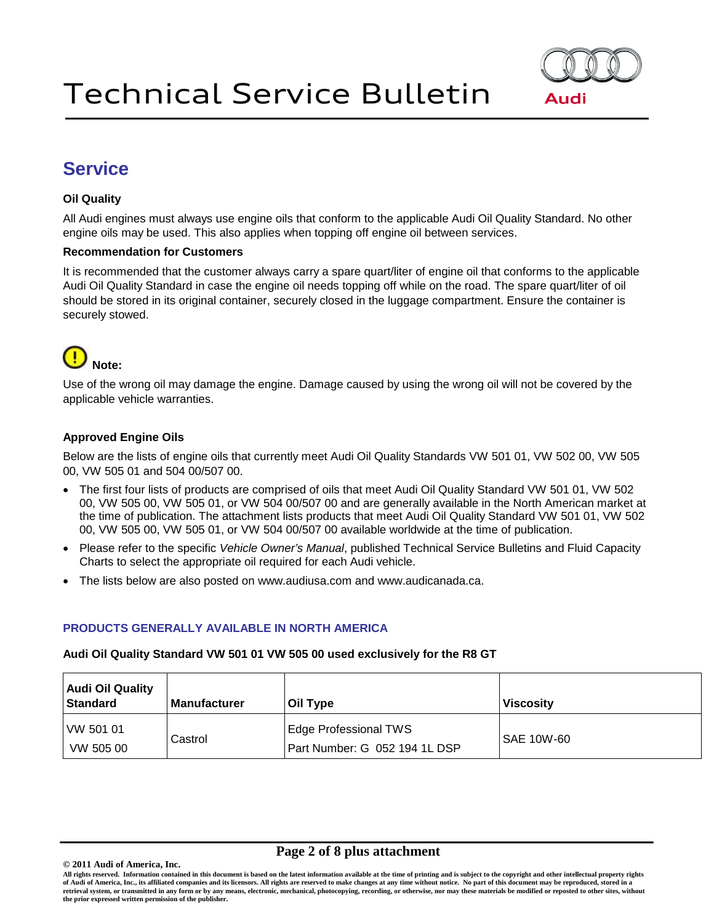

# **Service**

## **Oil Quality**

All Audi engines must always use engine oils that conform to the applicable Audi Oil Quality Standard. No other engine oils may be used. This also applies when topping off engine oil between services.

### **Recommendation for Customers**

It is recommended that the customer always carry a spare quart/liter of engine oil that conforms to the applicable Audi Oil Quality Standard in case the engine oil needs topping off while on the road. The spare quart/liter of oil should be stored in its original container, securely closed in the luggage compartment. Ensure the container is securely stowed.

# **Note:**

Use of the wrong oil may damage the engine. Damage caused by using the wrong oil will not be covered by the applicable vehicle warranties.

## **Approved Engine Oils**

Below are the lists of engine oils that currently meet Audi Oil Quality Standards VW 501 01, VW 502 00, VW 505 00, VW 505 01 and 504 00/507 00.

- The first four lists of products are comprised of oils that meet Audi Oil Quality Standard VW 501 01, VW 502 00, VW 505 00, VW 505 01, or VW 504 00/507 00 and are generally available in the North American market at the time of publication. The attachment lists products that meet Audi Oil Quality Standard VW 501 01, VW 502 00, VW 505 00, VW 505 01, or VW 504 00/507 00 available worldwide at the time of publication.
- Please refer to the specific *Vehicle Owner's Manual*, published Technical Service Bulletins and Fluid Capacity Charts to select the appropriate oil required for each Audi vehicle.
- The lists below are also posted on www.audiusa.com and www.audicanada.ca.

### **PRODUCTS GENERALLY AVAILABLE IN NORTH AMERICA**

### **Audi Oil Quality Standard VW 501 01 VW 505 00 used exclusively for the R8 GT**

| <b>Audi Oil Quality</b><br><b>Standard</b> | <b>Manufacturer</b> | Oil Type                                               | ∣ Viscosity       |
|--------------------------------------------|---------------------|--------------------------------------------------------|-------------------|
| VW 501 01<br>VW 505 00                     | Castrol             | Edge Professional TWS<br>Part Number: G 052 194 1L DSP | <b>SAE 10W-60</b> |

### **Page 2 of 8 plus attachment**

**All rights reserved. Information contained in this document is based on the latest information available at the time of printing and is subject to the copyright and other intellectual property rights of Audi of America, Inc., its affiliated companies and its licensors. All rights are reserved to make changes at any time without notice. No part of this document may be reproduced, stored in a retrieval system, or transmitted in any form or by any means, electronic, mechanical, photocopying, recording, or otherwise, nor may these materials be modified or reposted to other sites, without the prior expressed written permission of the publisher.** 

**<sup>© 2011</sup> Audi of America, Inc.**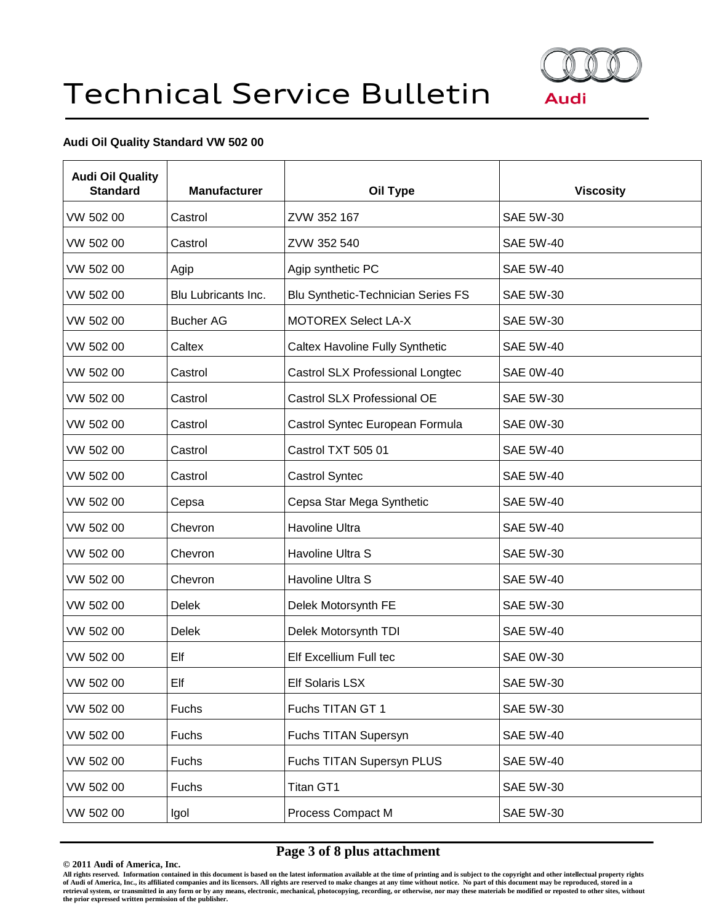

## **Audi Oil Quality Standard VW 502 00**

| <b>Audi Oil Quality</b><br><b>Standard</b> | <b>Manufacturer</b> | Oil Type                                  | <b>Viscosity</b> |
|--------------------------------------------|---------------------|-------------------------------------------|------------------|
| VW 502 00                                  | Castrol             | ZVW 352 167                               | <b>SAE 5W-30</b> |
| VW 502 00                                  | Castrol             | ZVW 352 540                               | <b>SAE 5W-40</b> |
| VW 502 00                                  | Agip                | Agip synthetic PC                         | <b>SAE 5W-40</b> |
| VW 502 00                                  | Blu Lubricants Inc. | <b>Blu Synthetic-Technician Series FS</b> | SAE 5W-30        |
| VW 502 00                                  | <b>Bucher AG</b>    | <b>MOTOREX Select LA-X</b>                | SAE 5W-30        |
| VW 502 00                                  | Caltex              | <b>Caltex Havoline Fully Synthetic</b>    | <b>SAE 5W-40</b> |
| VW 502 00                                  | Castrol             | Castrol SLX Professional Longtec          | <b>SAE 0W-40</b> |
| VW 502 00                                  | Castrol             | Castrol SLX Professional OE               | SAE 5W-30        |
| VW 502 00                                  | Castrol             | Castrol Syntec European Formula           | <b>SAE 0W-30</b> |
| VW 502 00                                  | Castrol             | Castrol TXT 505 01                        | <b>SAE 5W-40</b> |
| VW 502 00                                  | Castrol             | Castrol Syntec                            | <b>SAE 5W-40</b> |
| VW 502 00                                  | Cepsa               | Cepsa Star Mega Synthetic                 | <b>SAE 5W-40</b> |
| VW 502 00                                  | Chevron             | Havoline Ultra                            | <b>SAE 5W-40</b> |
| VW 502 00                                  | Chevron             | Havoline Ultra S                          | <b>SAE 5W-30</b> |
| VW 502 00                                  | Chevron             | Havoline Ultra S                          | <b>SAE 5W-40</b> |
| VW 502 00                                  | <b>Delek</b>        | Delek Motorsynth FE                       | SAE 5W-30        |
| VW 502 00                                  | Delek               | Delek Motorsynth TDI                      | <b>SAE 5W-40</b> |
| VW 502 00                                  | Elf                 | Elf Excellium Full tec                    | <b>SAE 0W-30</b> |
| VW 502 00                                  | Elf                 | Elf Solaris LSX                           | SAE 5W-30        |
| VW 502 00                                  | Fuchs               | Fuchs TITAN GT 1                          | SAE 5W-30        |
| VW 502 00                                  | Fuchs               | Fuchs TITAN Supersyn                      | <b>SAE 5W-40</b> |
| VW 502 00                                  | Fuchs               | Fuchs TITAN Supersyn PLUS                 | <b>SAE 5W-40</b> |
| VW 502 00                                  | Fuchs               | Titan GT1                                 | SAE 5W-30        |
| VW 502 00                                  | Igol                | Process Compact M                         | <b>SAE 5W-30</b> |

# **Page 3 of 8 plus attachment**

**© 2011 Audi of America, Inc.**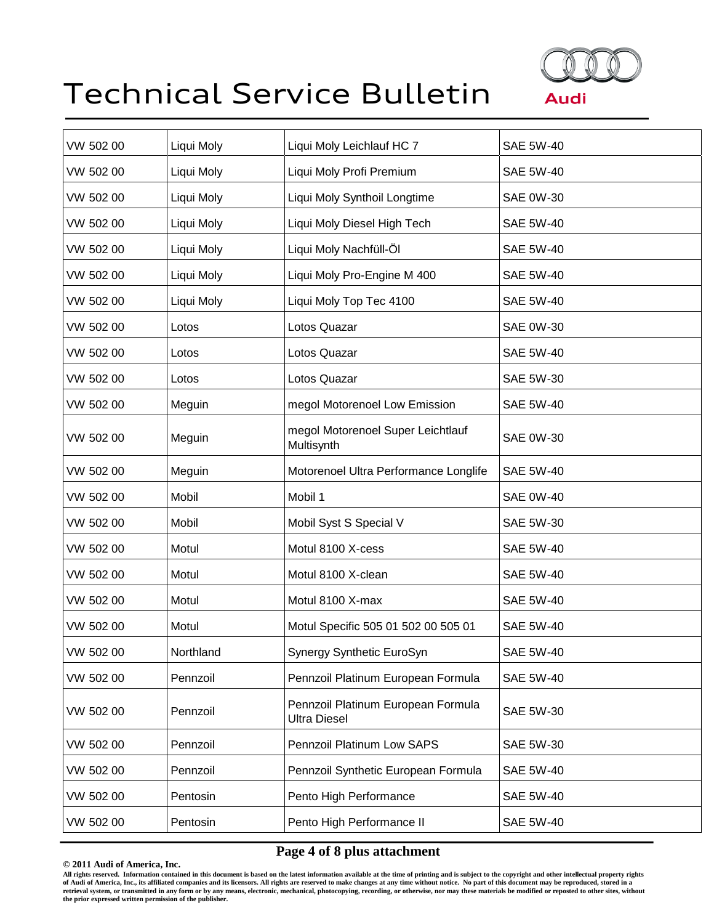

| VW 502 00 | Liqui Moly | Liqui Moly Leichlauf HC 7                                 | <b>SAE 5W-40</b> |
|-----------|------------|-----------------------------------------------------------|------------------|
| VW 502 00 | Liqui Moly | Liqui Moly Profi Premium                                  | <b>SAE 5W-40</b> |
| VW 502 00 | Liqui Moly | Liqui Moly Synthoil Longtime                              | <b>SAE 0W-30</b> |
| VW 502 00 | Liqui Moly | Liqui Moly Diesel High Tech                               | <b>SAE 5W-40</b> |
| VW 502 00 | Liqui Moly | Liqui Moly Nachfüll-Öl                                    | <b>SAE 5W-40</b> |
| VW 502 00 | Liqui Moly | Liqui Moly Pro-Engine M 400                               | <b>SAE 5W-40</b> |
| VW 502 00 | Liqui Moly | Liqui Moly Top Tec 4100                                   | <b>SAE 5W-40</b> |
| VW 502 00 | Lotos      | Lotos Quazar                                              | <b>SAE 0W-30</b> |
| VW 502 00 | Lotos      | Lotos Quazar                                              | <b>SAE 5W-40</b> |
| VW 502 00 | Lotos      | Lotos Quazar                                              | <b>SAE 5W-30</b> |
| VW 502 00 | Meguin     | megol Motorenoel Low Emission                             | <b>SAE 5W-40</b> |
| VW 502 00 | Meguin     | megol Motorenoel Super Leichtlauf<br>Multisynth           | <b>SAE 0W-30</b> |
| VW 502 00 | Meguin     | Motorenoel Ultra Performance Longlife                     | <b>SAE 5W-40</b> |
| VW 502 00 | Mobil      | Mobil 1                                                   | <b>SAE 0W-40</b> |
| VW 502 00 | Mobil      | Mobil Syst S Special V                                    | SAE 5W-30        |
| VW 502 00 | Motul      | Motul 8100 X-cess                                         | <b>SAE 5W-40</b> |
| VW 502 00 | Motul      | Motul 8100 X-clean                                        | <b>SAE 5W-40</b> |
| VW 502 00 | Motul      | Motul 8100 X-max                                          | <b>SAE 5W-40</b> |
| VW 502 00 | Motul      | Motul Specific 505 01 502 00 505 01                       | <b>SAE 5W-40</b> |
| VW 502 00 | Northland  | Synergy Synthetic EuroSyn                                 | <b>SAE 5W-40</b> |
| VW 502 00 | Pennzoil   | Pennzoil Platinum European Formula                        | <b>SAE 5W-40</b> |
| VW 502 00 | Pennzoil   | Pennzoil Platinum European Formula<br><b>Ultra Diesel</b> | <b>SAE 5W-30</b> |
| VW 502 00 | Pennzoil   | Pennzoil Platinum Low SAPS                                | <b>SAE 5W-30</b> |
| VW 502 00 | Pennzoil   | Pennzoil Synthetic European Formula                       | <b>SAE 5W-40</b> |
| VW 502 00 | Pentosin   | Pento High Performance                                    | <b>SAE 5W-40</b> |
| VW 502 00 | Pentosin   | Pento High Performance II                                 | <b>SAE 5W-40</b> |
|           |            |                                                           |                  |

# **Page 4 of 8 plus attachment**

**© 2011 Audi of America, Inc.**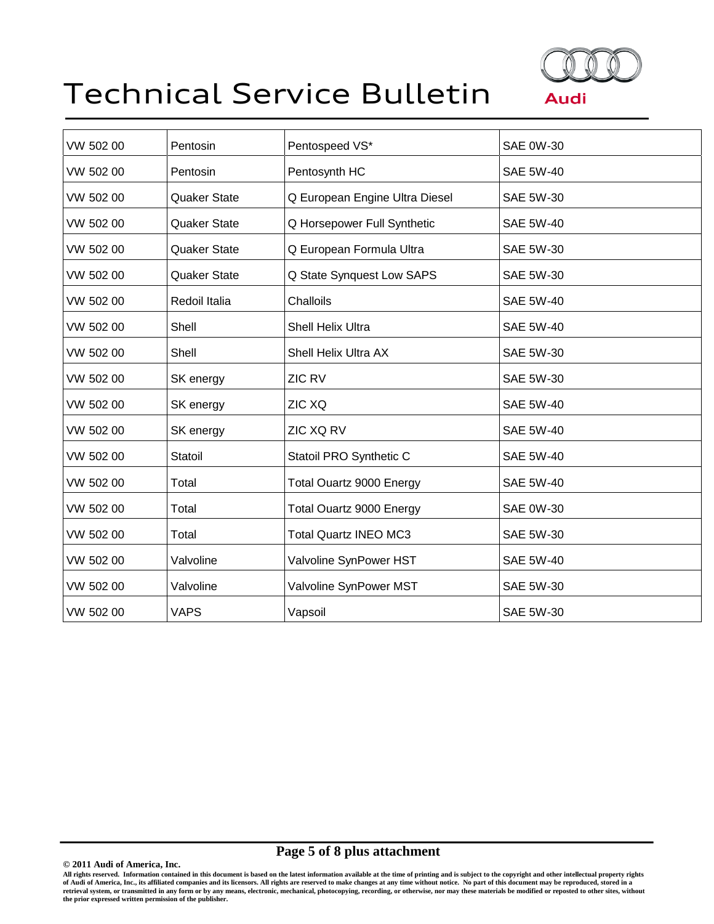

| VW 502 00 | Pentosin            | Pentospeed VS*                  | <b>SAE 0W-30</b> |
|-----------|---------------------|---------------------------------|------------------|
| VW 502 00 | Pentosin            | Pentosynth HC                   | <b>SAE 5W-40</b> |
| VW 502 00 | <b>Quaker State</b> | Q European Engine Ultra Diesel  | <b>SAE 5W-30</b> |
| VW 502 00 | <b>Quaker State</b> | Q Horsepower Full Synthetic     | <b>SAE 5W-40</b> |
| VW 502 00 | Quaker State        | Q European Formula Ultra        | SAE 5W-30        |
| VW 502 00 | <b>Quaker State</b> | Q State Synquest Low SAPS       | <b>SAE 5W-30</b> |
| VW 502 00 | Redoil Italia       | Challoils                       | <b>SAE 5W-40</b> |
| VW 502 00 | Shell               | Shell Helix Ultra               | <b>SAE 5W-40</b> |
| VW 502 00 | Shell               | Shell Helix Ultra AX            | <b>SAE 5W-30</b> |
| VW 502 00 | SK energy           | ZIC RV                          | <b>SAE 5W-30</b> |
| VW 502 00 | SK energy           | ZIC XQ                          | <b>SAE 5W-40</b> |
| VW 502 00 | SK energy           | ZIC XQ RV                       | <b>SAE 5W-40</b> |
| VW 502 00 | Statoil             | Statoil PRO Synthetic C         | <b>SAE 5W-40</b> |
| VW 502 00 | Total               | <b>Total Ouartz 9000 Energy</b> | <b>SAE 5W-40</b> |
| VW 502 00 | Total               | <b>Total Ouartz 9000 Energy</b> | <b>SAE 0W-30</b> |
| VW 502 00 | Total               | <b>Total Quartz INEO MC3</b>    | <b>SAE 5W-30</b> |
| VW 502 00 | Valvoline           | Valvoline SynPower HST          | <b>SAE 5W-40</b> |
| VW 502 00 | Valvoline           | Valvoline SynPower MST          | <b>SAE 5W-30</b> |
| VW 502 00 | <b>VAPS</b>         | Vapsoil                         | <b>SAE 5W-30</b> |

# **Page 5 of 8 plus attachment**

**© 2011 Audi of America, Inc.**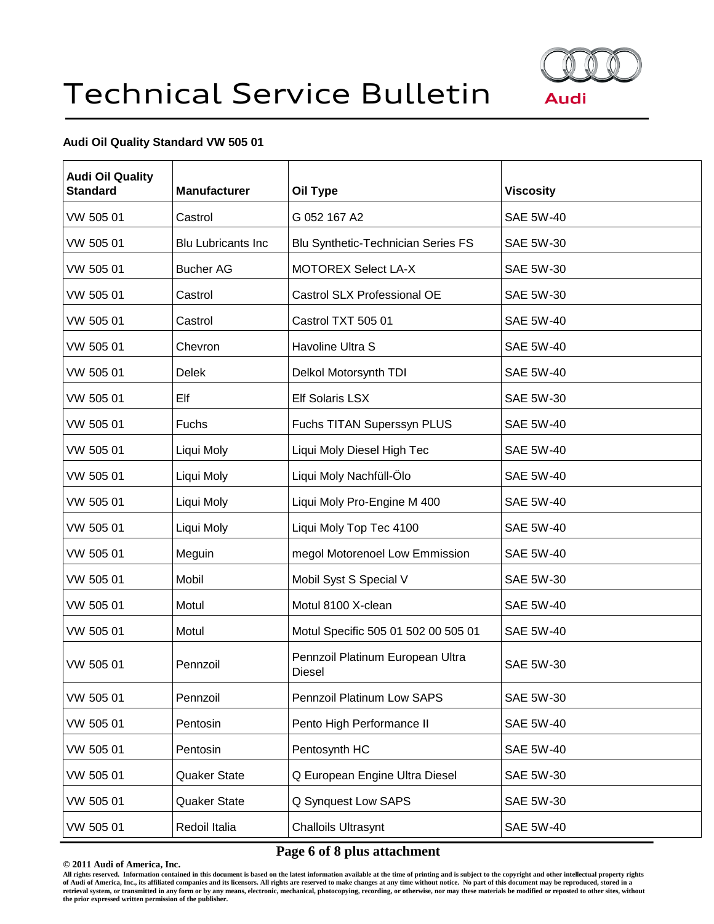

## **Audi Oil Quality Standard VW 505 01**

| <b>Audi Oil Quality</b><br><b>Standard</b> | <b>Manufacturer</b>       | Oil Type                                   | <b>Viscosity</b> |
|--------------------------------------------|---------------------------|--------------------------------------------|------------------|
| VW 505 01                                  | Castrol                   | G 052 167 A2                               | <b>SAE 5W-40</b> |
| VW 505 01                                  | <b>Blu Lubricants Inc</b> | <b>Blu Synthetic-Technician Series FS</b>  | <b>SAE 5W-30</b> |
| VW 505 01                                  | <b>Bucher AG</b>          | <b>MOTOREX Select LA-X</b>                 | <b>SAE 5W-30</b> |
| VW 505 01                                  | Castrol                   | Castrol SLX Professional OE                | <b>SAE 5W-30</b> |
| VW 505 01                                  | Castrol                   | Castrol TXT 505 01                         | <b>SAE 5W-40</b> |
| VW 505 01                                  | Chevron                   | Havoline Ultra S                           | <b>SAE 5W-40</b> |
| VW 505 01                                  | <b>Delek</b>              | Delkol Motorsynth TDI                      | <b>SAE 5W-40</b> |
| VW 505 01                                  | Elf                       | <b>Elf Solaris LSX</b>                     | <b>SAE 5W-30</b> |
| VW 505 01                                  | Fuchs                     | Fuchs TITAN Superssyn PLUS                 | <b>SAE 5W-40</b> |
| VW 505 01                                  | Liqui Moly                | Liqui Moly Diesel High Tec                 | <b>SAE 5W-40</b> |
| VW 505 01                                  | Liqui Moly                | Liqui Moly Nachfüll-Ölo                    | <b>SAE 5W-40</b> |
| VW 505 01                                  | Liqui Moly                | Liqui Moly Pro-Engine M 400                | <b>SAE 5W-40</b> |
| VW 505 01                                  | Liqui Moly                | Liqui Moly Top Tec 4100                    | <b>SAE 5W-40</b> |
| VW 505 01                                  | Meguin                    | megol Motorenoel Low Emmission             | <b>SAE 5W-40</b> |
| VW 505 01                                  | Mobil                     | Mobil Syst S Special V                     | <b>SAE 5W-30</b> |
| VW 505 01                                  | Motul                     | Motul 8100 X-clean                         | <b>SAE 5W-40</b> |
| VW 505 01                                  | Motul                     | Motul Specific 505 01 502 00 505 01        | <b>SAE 5W-40</b> |
| VW 505 01                                  | Pennzoil                  | Pennzoil Platinum European Ultra<br>Diesel | <b>SAE 5W-30</b> |
| VW 505 01                                  | Pennzoil                  | Pennzoil Platinum Low SAPS                 | <b>SAE 5W-30</b> |
| VW 505 01                                  | Pentosin                  | Pento High Performance II                  | <b>SAE 5W-40</b> |
| VW 505 01                                  | Pentosin                  | Pentosynth HC                              | <b>SAE 5W-40</b> |
| VW 505 01                                  | <b>Quaker State</b>       | Q European Engine Ultra Diesel             | SAE 5W-30        |
| VW 505 01                                  | Quaker State              | Q Synquest Low SAPS                        | <b>SAE 5W-30</b> |
| VW 505 01                                  | Redoil Italia             | <b>Challoils Ultrasynt</b>                 | <b>SAE 5W-40</b> |

# **Page 6 of 8 plus attachment**

**© 2011 Audi of America, Inc.**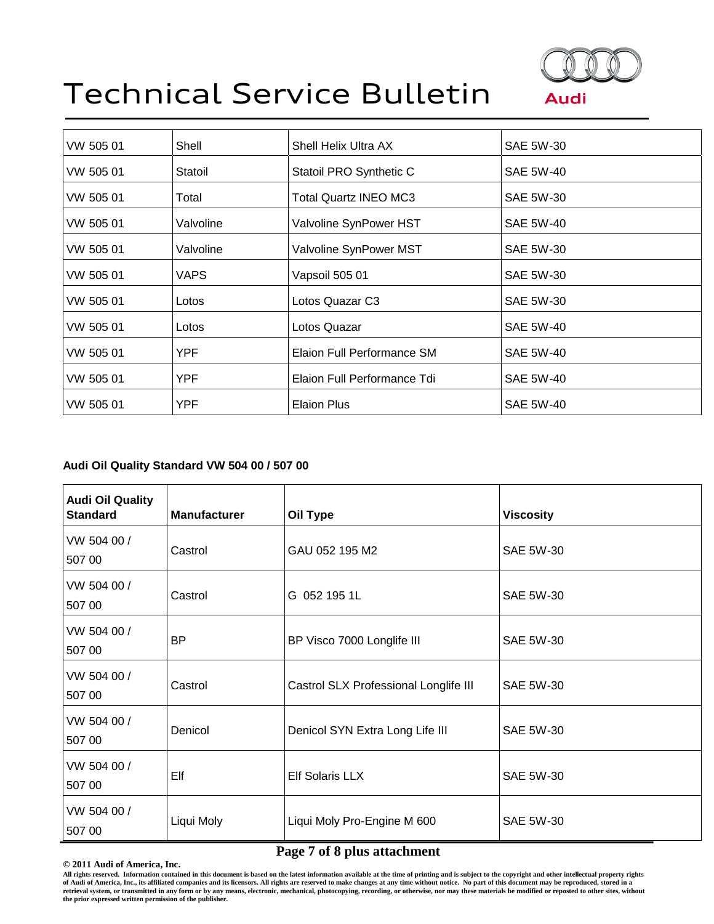

| VW 505 01 | Shell     | Shell Helix Ultra AX         | SAE 5W-30        |
|-----------|-----------|------------------------------|------------------|
| VW 505 01 | Statoil   | Statoil PRO Synthetic C      | <b>SAE 5W-40</b> |
| VW 505 01 | Total     | <b>Total Quartz INEO MC3</b> | <b>SAE 5W-30</b> |
| VW 505 01 | Valvoline | Valvoline SynPower HST       | <b>SAE 5W-40</b> |
| VW 505 01 | Valvoline | Valvoline SynPower MST       | <b>SAE 5W-30</b> |
| VW 505 01 | VAPS      | Vapsoil 505 01               | SAE 5W-30        |
| VW 505 01 | Lotos     | Lotos Quazar C3              | <b>SAE 5W-30</b> |
| VW 505 01 | Lotos     | Lotos Quazar                 | <b>SAE 5W-40</b> |
| VW 505 01 | YPF       | Elaion Full Performance SM   | <b>SAE 5W-40</b> |
| VW 505 01 | YPF       | Elaion Full Performance Tdi  | <b>SAE 5W-40</b> |
| VW 505 01 | YPF       | <b>Elaion Plus</b>           | <b>SAE 5W-40</b> |
|           |           |                              |                  |

## **Audi Oil Quality Standard VW 504 00 / 507 00**

| <b>Audi Oil Quality</b><br><b>Standard</b> | <b>Manufacturer</b> | Oil Type                              | <b>Viscosity</b> |
|--------------------------------------------|---------------------|---------------------------------------|------------------|
| VW 504 00 /<br>507 00                      | Castrol             | GAU 052 195 M2                        | SAE 5W-30        |
| VW 504 00 /<br>507 00                      | Castrol             | G 052 195 1L                          | SAE 5W-30        |
| VW 504 00 /<br>507 00                      | <b>BP</b>           | BP Visco 7000 Longlife III            | SAE 5W-30        |
| VW 504 00 /<br>507 00                      | Castrol             | Castrol SLX Professional Longlife III | <b>SAE 5W-30</b> |
| VW 504 00 /<br>507 00                      | Denicol             | Denicol SYN Extra Long Life III       | SAE 5W-30        |
| VW 504 00 /<br>507 00                      | Elf                 | <b>Elf Solaris LLX</b>                | <b>SAE 5W-30</b> |
| VW 504 00 /<br>507 00                      | Liqui Moly          | Liqui Moly Pro-Engine M 600           | <b>SAE 5W-30</b> |

# **Page 7 of 8 plus attachment**

**© 2011 Audi of America, Inc.**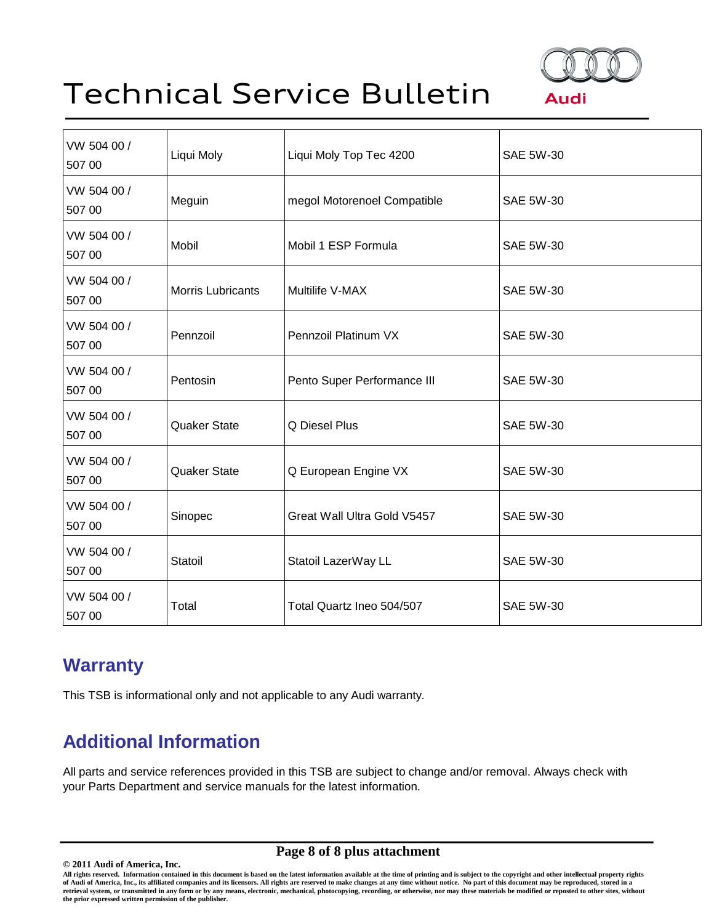

| VW 504 00 /<br>507 00 | Liqui Moly               | Liqui Moly Top Tec 4200     | <b>SAE 5W-30</b> |
|-----------------------|--------------------------|-----------------------------|------------------|
| VW 504 00 /<br>507 00 | Meguin                   | megol Motorenoel Compatible | <b>SAE 5W-30</b> |
| VW 504 00 /<br>507 00 | Mobil                    | Mobil 1 ESP Formula         | <b>SAE 5W-30</b> |
| VW 504 00 /<br>507 00 | <b>Morris Lubricants</b> | Multilife V-MAX             | <b>SAE 5W-30</b> |
| VW 504 00 /<br>507 00 | Pennzoil                 | Pennzoil Platinum VX        | <b>SAE 5W-30</b> |
| VW 504 00 /<br>507 00 | Pentosin                 | Pento Super Performance III | <b>SAE 5W-30</b> |
| VW 504 00 /<br>507 00 | Quaker State             | Q Diesel Plus               | SAE 5W-30        |
| VW 504 00 /<br>507 00 | <b>Quaker State</b>      | Q European Engine VX        | <b>SAE 5W-30</b> |
| VW 504 00 /<br>507 00 | Sinopec                  | Great Wall Ultra Gold V5457 | <b>SAE 5W-30</b> |
| VW 504 00 /<br>507 00 | Statoil                  | Statoil LazerWay LL         | <b>SAE 5W-30</b> |
| VW 504 00 /<br>507 00 | Total                    | Total Quartz Ineo 504/507   | <b>SAE 5W-30</b> |

# **Warranty**

This TSB is informational only and not applicable to any Audi warranty.

# **Additional Information**

All parts and service references provided in this TSB are subject to change and/or removal. Always check with your Parts Department and service manuals for the latest information.

# **Page 8 of 8 plus attachment**

**<sup>© 2011</sup> Audi of America, Inc.** All rights reserved. Information contained in this document is based on the latest information available at the time of printing and is subject to the copyright and other intellectual property rights<br>of Audi of America, In **the prior expressed written permission of the publisher.**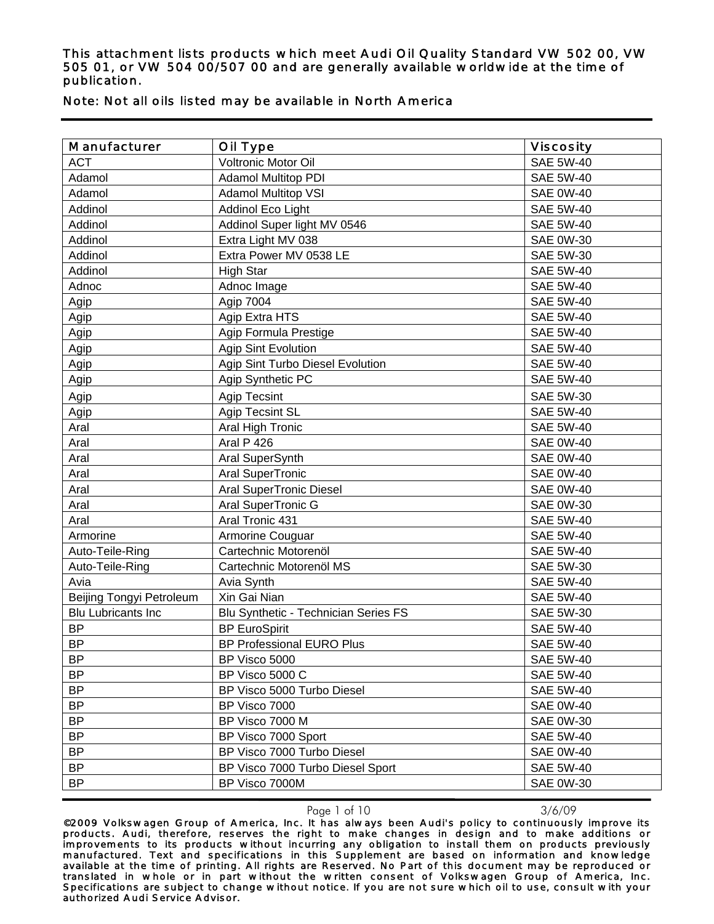| Manufacturer              | Oil Type                             | <b>Viscosity</b> |
|---------------------------|--------------------------------------|------------------|
| <b>ACT</b>                | Voltronic Motor Oil                  | <b>SAE 5W-40</b> |
| Adamol                    | <b>Adamol Multitop PDI</b>           | <b>SAE 5W-40</b> |
| Adamol                    | <b>Adamol Multitop VSI</b>           | <b>SAE 0W-40</b> |
| Addinol                   | Addinol Eco Light                    | <b>SAE 5W-40</b> |
| Addinol                   | Addinol Super light MV 0546          | <b>SAE 5W-40</b> |
| Addinol                   | Extra Light MV 038                   | <b>SAE 0W-30</b> |
| Addinol                   | Extra Power MV 0538 LE               | <b>SAE 5W-30</b> |
| Addinol                   | <b>High Star</b>                     | <b>SAE 5W-40</b> |
| Adnoc                     | Adnoc Image                          | <b>SAE 5W-40</b> |
| Agip                      | Agip 7004                            | <b>SAE 5W-40</b> |
| Agip                      | Agip Extra HTS                       | <b>SAE 5W-40</b> |
| Agip                      | Agip Formula Prestige                | <b>SAE 5W-40</b> |
| Agip                      | Agip Sint Evolution                  | <b>SAE 5W-40</b> |
| Agip                      | Agip Sint Turbo Diesel Evolution     | <b>SAE 5W-40</b> |
| Agip                      | Agip Synthetic PC                    | <b>SAE 5W-40</b> |
| Agip                      | Agip Tecsint                         | <b>SAE 5W-30</b> |
| Agip                      | Agip Tecsint SL                      | <b>SAE 5W-40</b> |
| Aral                      | Aral High Tronic                     | <b>SAE 5W-40</b> |
| Aral                      | Aral P 426                           | <b>SAE 0W-40</b> |
| Aral                      | Aral SuperSynth                      | <b>SAE 0W-40</b> |
| Aral                      | Aral SuperTronic                     | <b>SAE 0W-40</b> |
| Aral                      | <b>Aral SuperTronic Diesel</b>       | <b>SAE 0W-40</b> |
| Aral                      | Aral SuperTronic G                   | <b>SAE 0W-30</b> |
| Aral                      | Aral Tronic 431                      | <b>SAE 5W-40</b> |
| Armorine                  | Armorine Couguar                     | <b>SAE 5W-40</b> |
| Auto-Teile-Ring           | Cartechnic Motorenöl                 | <b>SAE 5W-40</b> |
| Auto-Teile-Ring           | Cartechnic Motorenöl MS              | SAE 5W-30        |
| Avia                      | Avia Synth                           | <b>SAE 5W-40</b> |
| Beijing Tongyi Petroleum  | Xin Gai Nian                         | <b>SAE 5W-40</b> |
| <b>Blu Lubricants Inc</b> | Blu Synthetic - Technician Series FS | <b>SAE 5W-30</b> |
| <b>BP</b>                 | <b>BP EuroSpirit</b>                 | <b>SAE 5W-40</b> |
| <b>BP</b>                 | <b>BP Professional EURO Plus</b>     | <b>SAE 5W-40</b> |
| <b>BP</b>                 | BP Visco 5000                        | <b>SAE 5W-40</b> |
| <b>BP</b>                 | BP Visco 5000 C                      | <b>SAE 5W-40</b> |
| <b>BP</b>                 | BP Visco 5000 Turbo Diesel           | <b>SAE 5W-40</b> |
| <b>BP</b>                 | BP Visco 7000                        | <b>SAE 0W-40</b> |
| <b>BP</b>                 | BP Visco 7000 M                      | <b>SAE 0W-30</b> |
| <b>BP</b>                 | BP Visco 7000 Sport                  | <b>SAE 5W-40</b> |
| BP                        | BP Visco 7000 Turbo Diesel           | <b>SAE 0W-40</b> |

Note: Not all oils listed may be available in North America

Page 1 of 10 3/6/09

BP BP Visco 7000 Turbo Diesel Sport SAE 5W-40 BP BP Visco 7000M SAE 0W-30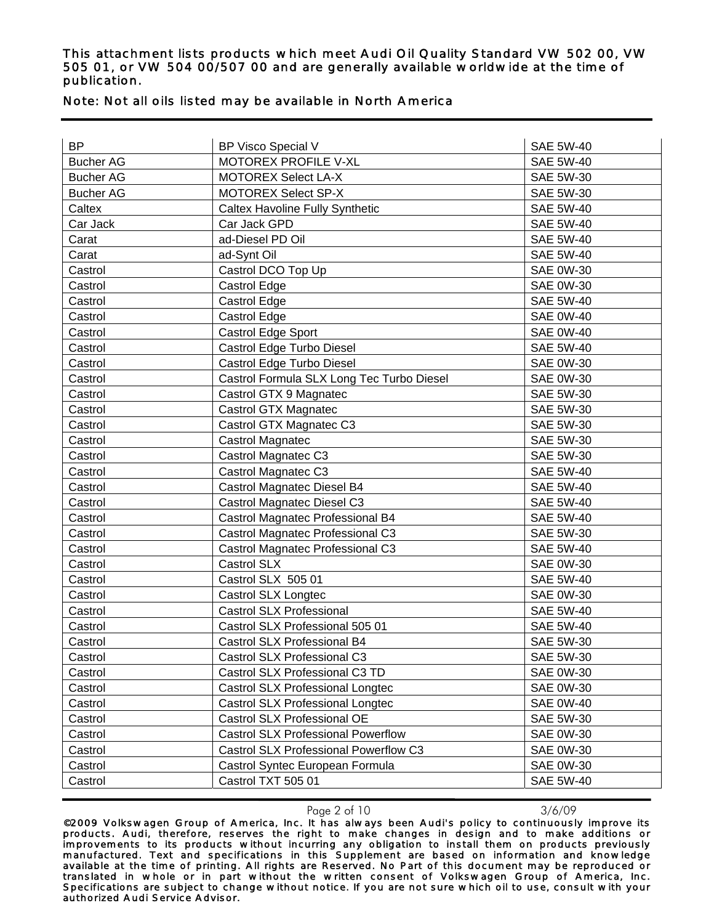| MOTOREX PROFILE V-XL<br><b>SAE 5W-40</b><br><b>Bucher AG</b><br><b>Bucher AG</b><br><b>MOTOREX Select LA-X</b><br><b>SAE 5W-30</b><br><b>Bucher AG</b><br><b>MOTOREX Select SP-X</b><br>SAE 5W-30<br>Caltex<br><b>Caltex Havoline Fully Synthetic</b><br><b>SAE 5W-40</b><br>Car Jack GPD<br><b>SAE 5W-40</b><br>Car Jack<br>ad-Diesel PD Oil<br><b>SAE 5W-40</b><br>Carat<br>ad-Synt Oil<br><b>SAE 5W-40</b><br>Carat<br>Castrol<br>Castrol DCO Top Up<br><b>SAE 0W-30</b><br>Castrol Edge<br><b>SAE 0W-30</b><br>Castrol<br><b>SAE 5W-40</b><br>Castrol<br>Castrol Edge<br><b>SAE 0W-40</b><br>Castrol Edge<br>Castrol<br>Castrol Edge Sport<br><b>SAE 0W-40</b><br>Castrol<br>Castrol Edge Turbo Diesel<br>Castrol<br><b>SAE 5W-40</b><br>Castrol Edge Turbo Diesel<br><b>SAE 0W-30</b><br>Castrol<br>Castrol Formula SLX Long Tec Turbo Diesel<br>Castrol<br><b>SAE 0W-30</b><br><b>SAE 5W-30</b><br>Castrol<br>Castrol GTX 9 Magnatec<br>Castrol GTX Magnatec<br>Castrol<br>SAE 5W-30<br>Castrol GTX Magnatec C3<br>Castrol<br><b>SAE 5W-30</b><br>Castrol Magnatec<br><b>SAE 5W-30</b><br>Castrol<br>Castrol Magnatec C3<br><b>SAE 5W-30</b><br>Castrol<br>Castrol Magnatec C3<br><b>SAE 5W-40</b><br>Castrol<br>Castrol Magnatec Diesel B4<br><b>SAE 5W-40</b><br>Castrol<br>Castrol Magnatec Diesel C3<br><b>SAE 5W-40</b><br>Castrol<br>Castrol Magnatec Professional B4<br><b>SAE 5W-40</b><br>Castrol<br>Castrol Magnatec Professional C3<br><b>SAE 5W-30</b><br>Castrol<br>Castrol Magnatec Professional C3<br><b>SAE 5W-40</b><br>Castrol<br>Castrol SLX<br>Castrol<br><b>SAE 0W-30</b><br>Castrol SLX 505 01<br><b>SAE 5W-40</b><br>Castrol<br>Castrol<br>Castrol SLX Longtec<br><b>SAE 0W-30</b><br><b>Castrol SLX Professional</b><br><b>SAE 5W-40</b><br>Castrol<br>Castrol SLX Professional 505 01<br><b>SAE 5W-40</b><br>Castrol<br>Castrol SLX Professional B4<br><b>SAE 5W-30</b><br>Castrol<br>Castrol SLX Professional C3<br>SAE 5W-30<br>Castrol<br>Castrol SLX Professional C3 TD<br><b>SAE 0W-30</b><br>Castrol<br>Castrol SLX Professional Longtec<br><b>SAE 0W-30</b><br>Castrol<br>Castrol SLX Professional Longtec<br><b>SAE 0W-40</b><br>Castrol<br>Castrol SLX Professional OE<br>SAE 5W-30<br>Castrol<br><b>Castrol SLX Professional Powerflow</b><br><b>SAE 0W-30</b><br>Castrol<br>Castrol SLX Professional Powerflow C3<br><b>SAE 0W-30</b><br>Castrol<br><b>SAE 0W-30</b><br>Castrol Syntec European Formula<br>Castrol | <b>BP</b> | BP Visco Special V | <b>SAE 5W-40</b> |
|--------------------------------------------------------------------------------------------------------------------------------------------------------------------------------------------------------------------------------------------------------------------------------------------------------------------------------------------------------------------------------------------------------------------------------------------------------------------------------------------------------------------------------------------------------------------------------------------------------------------------------------------------------------------------------------------------------------------------------------------------------------------------------------------------------------------------------------------------------------------------------------------------------------------------------------------------------------------------------------------------------------------------------------------------------------------------------------------------------------------------------------------------------------------------------------------------------------------------------------------------------------------------------------------------------------------------------------------------------------------------------------------------------------------------------------------------------------------------------------------------------------------------------------------------------------------------------------------------------------------------------------------------------------------------------------------------------------------------------------------------------------------------------------------------------------------------------------------------------------------------------------------------------------------------------------------------------------------------------------------------------------------------------------------------------------------------------------------------------------------------------------------------------------------------------------------------------------------------------------------------------------------------------------------------------------------------------------------------------------------------------------------------------------------------------------------------------------|-----------|--------------------|------------------|
|                                                                                                                                                                                                                                                                                                                                                                                                                                                                                                                                                                                                                                                                                                                                                                                                                                                                                                                                                                                                                                                                                                                                                                                                                                                                                                                                                                                                                                                                                                                                                                                                                                                                                                                                                                                                                                                                                                                                                                                                                                                                                                                                                                                                                                                                                                                                                                                                                                                              |           |                    |                  |
|                                                                                                                                                                                                                                                                                                                                                                                                                                                                                                                                                                                                                                                                                                                                                                                                                                                                                                                                                                                                                                                                                                                                                                                                                                                                                                                                                                                                                                                                                                                                                                                                                                                                                                                                                                                                                                                                                                                                                                                                                                                                                                                                                                                                                                                                                                                                                                                                                                                              |           |                    |                  |
|                                                                                                                                                                                                                                                                                                                                                                                                                                                                                                                                                                                                                                                                                                                                                                                                                                                                                                                                                                                                                                                                                                                                                                                                                                                                                                                                                                                                                                                                                                                                                                                                                                                                                                                                                                                                                                                                                                                                                                                                                                                                                                                                                                                                                                                                                                                                                                                                                                                              |           |                    |                  |
|                                                                                                                                                                                                                                                                                                                                                                                                                                                                                                                                                                                                                                                                                                                                                                                                                                                                                                                                                                                                                                                                                                                                                                                                                                                                                                                                                                                                                                                                                                                                                                                                                                                                                                                                                                                                                                                                                                                                                                                                                                                                                                                                                                                                                                                                                                                                                                                                                                                              |           |                    |                  |
|                                                                                                                                                                                                                                                                                                                                                                                                                                                                                                                                                                                                                                                                                                                                                                                                                                                                                                                                                                                                                                                                                                                                                                                                                                                                                                                                                                                                                                                                                                                                                                                                                                                                                                                                                                                                                                                                                                                                                                                                                                                                                                                                                                                                                                                                                                                                                                                                                                                              |           |                    |                  |
|                                                                                                                                                                                                                                                                                                                                                                                                                                                                                                                                                                                                                                                                                                                                                                                                                                                                                                                                                                                                                                                                                                                                                                                                                                                                                                                                                                                                                                                                                                                                                                                                                                                                                                                                                                                                                                                                                                                                                                                                                                                                                                                                                                                                                                                                                                                                                                                                                                                              |           |                    |                  |
|                                                                                                                                                                                                                                                                                                                                                                                                                                                                                                                                                                                                                                                                                                                                                                                                                                                                                                                                                                                                                                                                                                                                                                                                                                                                                                                                                                                                                                                                                                                                                                                                                                                                                                                                                                                                                                                                                                                                                                                                                                                                                                                                                                                                                                                                                                                                                                                                                                                              |           |                    |                  |
|                                                                                                                                                                                                                                                                                                                                                                                                                                                                                                                                                                                                                                                                                                                                                                                                                                                                                                                                                                                                                                                                                                                                                                                                                                                                                                                                                                                                                                                                                                                                                                                                                                                                                                                                                                                                                                                                                                                                                                                                                                                                                                                                                                                                                                                                                                                                                                                                                                                              |           |                    |                  |
|                                                                                                                                                                                                                                                                                                                                                                                                                                                                                                                                                                                                                                                                                                                                                                                                                                                                                                                                                                                                                                                                                                                                                                                                                                                                                                                                                                                                                                                                                                                                                                                                                                                                                                                                                                                                                                                                                                                                                                                                                                                                                                                                                                                                                                                                                                                                                                                                                                                              |           |                    |                  |
|                                                                                                                                                                                                                                                                                                                                                                                                                                                                                                                                                                                                                                                                                                                                                                                                                                                                                                                                                                                                                                                                                                                                                                                                                                                                                                                                                                                                                                                                                                                                                                                                                                                                                                                                                                                                                                                                                                                                                                                                                                                                                                                                                                                                                                                                                                                                                                                                                                                              |           |                    |                  |
|                                                                                                                                                                                                                                                                                                                                                                                                                                                                                                                                                                                                                                                                                                                                                                                                                                                                                                                                                                                                                                                                                                                                                                                                                                                                                                                                                                                                                                                                                                                                                                                                                                                                                                                                                                                                                                                                                                                                                                                                                                                                                                                                                                                                                                                                                                                                                                                                                                                              |           |                    |                  |
|                                                                                                                                                                                                                                                                                                                                                                                                                                                                                                                                                                                                                                                                                                                                                                                                                                                                                                                                                                                                                                                                                                                                                                                                                                                                                                                                                                                                                                                                                                                                                                                                                                                                                                                                                                                                                                                                                                                                                                                                                                                                                                                                                                                                                                                                                                                                                                                                                                                              |           |                    |                  |
|                                                                                                                                                                                                                                                                                                                                                                                                                                                                                                                                                                                                                                                                                                                                                                                                                                                                                                                                                                                                                                                                                                                                                                                                                                                                                                                                                                                                                                                                                                                                                                                                                                                                                                                                                                                                                                                                                                                                                                                                                                                                                                                                                                                                                                                                                                                                                                                                                                                              |           |                    |                  |
|                                                                                                                                                                                                                                                                                                                                                                                                                                                                                                                                                                                                                                                                                                                                                                                                                                                                                                                                                                                                                                                                                                                                                                                                                                                                                                                                                                                                                                                                                                                                                                                                                                                                                                                                                                                                                                                                                                                                                                                                                                                                                                                                                                                                                                                                                                                                                                                                                                                              |           |                    |                  |
|                                                                                                                                                                                                                                                                                                                                                                                                                                                                                                                                                                                                                                                                                                                                                                                                                                                                                                                                                                                                                                                                                                                                                                                                                                                                                                                                                                                                                                                                                                                                                                                                                                                                                                                                                                                                                                                                                                                                                                                                                                                                                                                                                                                                                                                                                                                                                                                                                                                              |           |                    |                  |
|                                                                                                                                                                                                                                                                                                                                                                                                                                                                                                                                                                                                                                                                                                                                                                                                                                                                                                                                                                                                                                                                                                                                                                                                                                                                                                                                                                                                                                                                                                                                                                                                                                                                                                                                                                                                                                                                                                                                                                                                                                                                                                                                                                                                                                                                                                                                                                                                                                                              |           |                    |                  |
|                                                                                                                                                                                                                                                                                                                                                                                                                                                                                                                                                                                                                                                                                                                                                                                                                                                                                                                                                                                                                                                                                                                                                                                                                                                                                                                                                                                                                                                                                                                                                                                                                                                                                                                                                                                                                                                                                                                                                                                                                                                                                                                                                                                                                                                                                                                                                                                                                                                              |           |                    |                  |
|                                                                                                                                                                                                                                                                                                                                                                                                                                                                                                                                                                                                                                                                                                                                                                                                                                                                                                                                                                                                                                                                                                                                                                                                                                                                                                                                                                                                                                                                                                                                                                                                                                                                                                                                                                                                                                                                                                                                                                                                                                                                                                                                                                                                                                                                                                                                                                                                                                                              |           |                    |                  |
|                                                                                                                                                                                                                                                                                                                                                                                                                                                                                                                                                                                                                                                                                                                                                                                                                                                                                                                                                                                                                                                                                                                                                                                                                                                                                                                                                                                                                                                                                                                                                                                                                                                                                                                                                                                                                                                                                                                                                                                                                                                                                                                                                                                                                                                                                                                                                                                                                                                              |           |                    |                  |
|                                                                                                                                                                                                                                                                                                                                                                                                                                                                                                                                                                                                                                                                                                                                                                                                                                                                                                                                                                                                                                                                                                                                                                                                                                                                                                                                                                                                                                                                                                                                                                                                                                                                                                                                                                                                                                                                                                                                                                                                                                                                                                                                                                                                                                                                                                                                                                                                                                                              |           |                    |                  |
|                                                                                                                                                                                                                                                                                                                                                                                                                                                                                                                                                                                                                                                                                                                                                                                                                                                                                                                                                                                                                                                                                                                                                                                                                                                                                                                                                                                                                                                                                                                                                                                                                                                                                                                                                                                                                                                                                                                                                                                                                                                                                                                                                                                                                                                                                                                                                                                                                                                              |           |                    |                  |
|                                                                                                                                                                                                                                                                                                                                                                                                                                                                                                                                                                                                                                                                                                                                                                                                                                                                                                                                                                                                                                                                                                                                                                                                                                                                                                                                                                                                                                                                                                                                                                                                                                                                                                                                                                                                                                                                                                                                                                                                                                                                                                                                                                                                                                                                                                                                                                                                                                                              |           |                    |                  |
|                                                                                                                                                                                                                                                                                                                                                                                                                                                                                                                                                                                                                                                                                                                                                                                                                                                                                                                                                                                                                                                                                                                                                                                                                                                                                                                                                                                                                                                                                                                                                                                                                                                                                                                                                                                                                                                                                                                                                                                                                                                                                                                                                                                                                                                                                                                                                                                                                                                              |           |                    |                  |
|                                                                                                                                                                                                                                                                                                                                                                                                                                                                                                                                                                                                                                                                                                                                                                                                                                                                                                                                                                                                                                                                                                                                                                                                                                                                                                                                                                                                                                                                                                                                                                                                                                                                                                                                                                                                                                                                                                                                                                                                                                                                                                                                                                                                                                                                                                                                                                                                                                                              |           |                    |                  |
|                                                                                                                                                                                                                                                                                                                                                                                                                                                                                                                                                                                                                                                                                                                                                                                                                                                                                                                                                                                                                                                                                                                                                                                                                                                                                                                                                                                                                                                                                                                                                                                                                                                                                                                                                                                                                                                                                                                                                                                                                                                                                                                                                                                                                                                                                                                                                                                                                                                              |           |                    |                  |
|                                                                                                                                                                                                                                                                                                                                                                                                                                                                                                                                                                                                                                                                                                                                                                                                                                                                                                                                                                                                                                                                                                                                                                                                                                                                                                                                                                                                                                                                                                                                                                                                                                                                                                                                                                                                                                                                                                                                                                                                                                                                                                                                                                                                                                                                                                                                                                                                                                                              |           |                    |                  |
|                                                                                                                                                                                                                                                                                                                                                                                                                                                                                                                                                                                                                                                                                                                                                                                                                                                                                                                                                                                                                                                                                                                                                                                                                                                                                                                                                                                                                                                                                                                                                                                                                                                                                                                                                                                                                                                                                                                                                                                                                                                                                                                                                                                                                                                                                                                                                                                                                                                              |           |                    |                  |
|                                                                                                                                                                                                                                                                                                                                                                                                                                                                                                                                                                                                                                                                                                                                                                                                                                                                                                                                                                                                                                                                                                                                                                                                                                                                                                                                                                                                                                                                                                                                                                                                                                                                                                                                                                                                                                                                                                                                                                                                                                                                                                                                                                                                                                                                                                                                                                                                                                                              |           |                    |                  |
|                                                                                                                                                                                                                                                                                                                                                                                                                                                                                                                                                                                                                                                                                                                                                                                                                                                                                                                                                                                                                                                                                                                                                                                                                                                                                                                                                                                                                                                                                                                                                                                                                                                                                                                                                                                                                                                                                                                                                                                                                                                                                                                                                                                                                                                                                                                                                                                                                                                              |           |                    |                  |
|                                                                                                                                                                                                                                                                                                                                                                                                                                                                                                                                                                                                                                                                                                                                                                                                                                                                                                                                                                                                                                                                                                                                                                                                                                                                                                                                                                                                                                                                                                                                                                                                                                                                                                                                                                                                                                                                                                                                                                                                                                                                                                                                                                                                                                                                                                                                                                                                                                                              |           |                    |                  |
|                                                                                                                                                                                                                                                                                                                                                                                                                                                                                                                                                                                                                                                                                                                                                                                                                                                                                                                                                                                                                                                                                                                                                                                                                                                                                                                                                                                                                                                                                                                                                                                                                                                                                                                                                                                                                                                                                                                                                                                                                                                                                                                                                                                                                                                                                                                                                                                                                                                              |           |                    |                  |
|                                                                                                                                                                                                                                                                                                                                                                                                                                                                                                                                                                                                                                                                                                                                                                                                                                                                                                                                                                                                                                                                                                                                                                                                                                                                                                                                                                                                                                                                                                                                                                                                                                                                                                                                                                                                                                                                                                                                                                                                                                                                                                                                                                                                                                                                                                                                                                                                                                                              |           |                    |                  |
|                                                                                                                                                                                                                                                                                                                                                                                                                                                                                                                                                                                                                                                                                                                                                                                                                                                                                                                                                                                                                                                                                                                                                                                                                                                                                                                                                                                                                                                                                                                                                                                                                                                                                                                                                                                                                                                                                                                                                                                                                                                                                                                                                                                                                                                                                                                                                                                                                                                              |           |                    |                  |
|                                                                                                                                                                                                                                                                                                                                                                                                                                                                                                                                                                                                                                                                                                                                                                                                                                                                                                                                                                                                                                                                                                                                                                                                                                                                                                                                                                                                                                                                                                                                                                                                                                                                                                                                                                                                                                                                                                                                                                                                                                                                                                                                                                                                                                                                                                                                                                                                                                                              |           |                    |                  |
|                                                                                                                                                                                                                                                                                                                                                                                                                                                                                                                                                                                                                                                                                                                                                                                                                                                                                                                                                                                                                                                                                                                                                                                                                                                                                                                                                                                                                                                                                                                                                                                                                                                                                                                                                                                                                                                                                                                                                                                                                                                                                                                                                                                                                                                                                                                                                                                                                                                              |           |                    |                  |
|                                                                                                                                                                                                                                                                                                                                                                                                                                                                                                                                                                                                                                                                                                                                                                                                                                                                                                                                                                                                                                                                                                                                                                                                                                                                                                                                                                                                                                                                                                                                                                                                                                                                                                                                                                                                                                                                                                                                                                                                                                                                                                                                                                                                                                                                                                                                                                                                                                                              |           |                    |                  |
|                                                                                                                                                                                                                                                                                                                                                                                                                                                                                                                                                                                                                                                                                                                                                                                                                                                                                                                                                                                                                                                                                                                                                                                                                                                                                                                                                                                                                                                                                                                                                                                                                                                                                                                                                                                                                                                                                                                                                                                                                                                                                                                                                                                                                                                                                                                                                                                                                                                              |           |                    |                  |
|                                                                                                                                                                                                                                                                                                                                                                                                                                                                                                                                                                                                                                                                                                                                                                                                                                                                                                                                                                                                                                                                                                                                                                                                                                                                                                                                                                                                                                                                                                                                                                                                                                                                                                                                                                                                                                                                                                                                                                                                                                                                                                                                                                                                                                                                                                                                                                                                                                                              |           |                    |                  |
|                                                                                                                                                                                                                                                                                                                                                                                                                                                                                                                                                                                                                                                                                                                                                                                                                                                                                                                                                                                                                                                                                                                                                                                                                                                                                                                                                                                                                                                                                                                                                                                                                                                                                                                                                                                                                                                                                                                                                                                                                                                                                                                                                                                                                                                                                                                                                                                                                                                              |           |                    |                  |
|                                                                                                                                                                                                                                                                                                                                                                                                                                                                                                                                                                                                                                                                                                                                                                                                                                                                                                                                                                                                                                                                                                                                                                                                                                                                                                                                                                                                                                                                                                                                                                                                                                                                                                                                                                                                                                                                                                                                                                                                                                                                                                                                                                                                                                                                                                                                                                                                                                                              |           |                    |                  |
| <b>SAE 5W-40</b><br>Castrol<br>Castrol TXT 505 01                                                                                                                                                                                                                                                                                                                                                                                                                                                                                                                                                                                                                                                                                                                                                                                                                                                                                                                                                                                                                                                                                                                                                                                                                                                                                                                                                                                                                                                                                                                                                                                                                                                                                                                                                                                                                                                                                                                                                                                                                                                                                                                                                                                                                                                                                                                                                                                                            |           |                    |                  |

### Note: Not all oils listed may be available in North America

Page 2 of 10 3/6/09

<sup>©2009</sup> Volkswagen Group of America, Inc. It has always been Audi's policy to continuously improve its products. Audi, therefore, reserves the right to make changes in design and to make additions or improvements to its products without incurring any obligation to install them on products previously manufactured. Text and specifications in this Supplement are based on information and knowledge available at the time of printing. All rights are Reserved. No Part of this document may be reproduced or translated in whole or in part without the written consent of Volkswagen Group of America, Inc. Specifications are subject to change without notice. If you are not sure which oil to use, consult with your authorized Audi Service Advisor.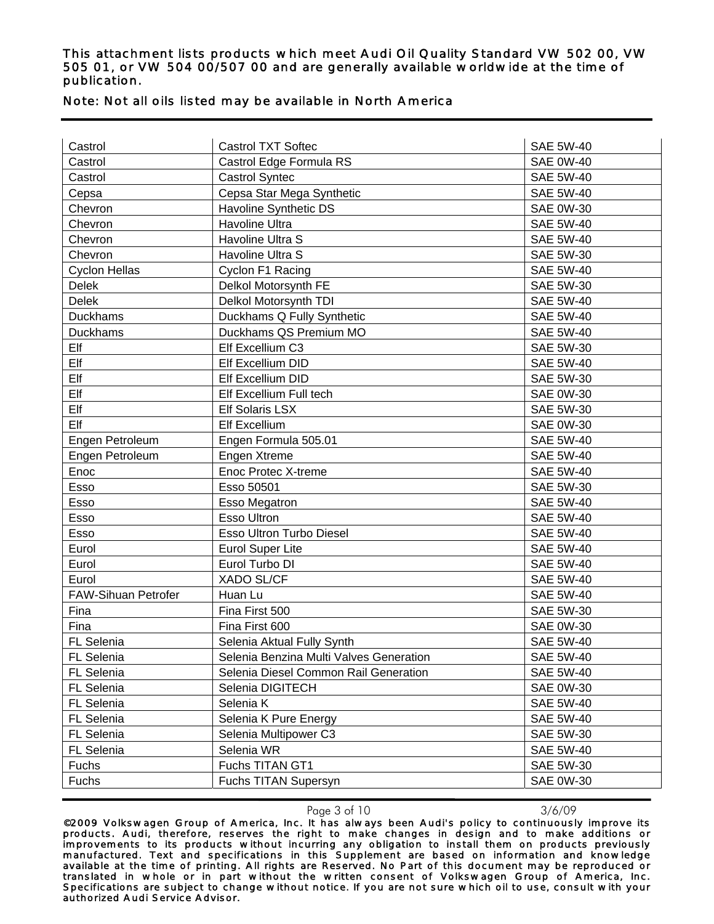| Note: Not all oils listed may be available in North America |  |  |  |
|-------------------------------------------------------------|--|--|--|
|                                                             |  |  |  |

| Castrol              | <b>Castrol TXT Softec</b>               | <b>SAE 5W-40</b> |
|----------------------|-----------------------------------------|------------------|
| Castrol              | Castrol Edge Formula RS                 | <b>SAE 0W-40</b> |
| Castrol              | <b>Castrol Syntec</b>                   | <b>SAE 5W-40</b> |
| Cepsa                | Cepsa Star Mega Synthetic               | <b>SAE 5W-40</b> |
| Chevron              | Havoline Synthetic DS                   | <b>SAE 0W-30</b> |
| Chevron              | Havoline Ultra                          | <b>SAE 5W-40</b> |
| Chevron              | Havoline Ultra S                        | <b>SAE 5W-40</b> |
| Chevron              | Havoline Ultra S                        | <b>SAE 5W-30</b> |
| <b>Cyclon Hellas</b> | Cyclon F1 Racing                        | <b>SAE 5W-40</b> |
| <b>Delek</b>         | Delkol Motorsynth FE                    | <b>SAE 5W-30</b> |
| <b>Delek</b>         | Delkol Motorsynth TDI                   | <b>SAE 5W-40</b> |
| <b>Duckhams</b>      | Duckhams Q Fully Synthetic              | <b>SAE 5W-40</b> |
| Duckhams             | Duckhams QS Premium MO                  | <b>SAE 5W-40</b> |
| Elf                  | Elf Excellium C3                        | <b>SAE 5W-30</b> |
| Elf                  | Elf Excellium DID                       | <b>SAE 5W-40</b> |
| Elf                  | Elf Excellium DID                       | <b>SAE 5W-30</b> |
| Elf                  | Elf Excellium Full tech                 | <b>SAE 0W-30</b> |
| Elf                  | <b>Elf Solaris LSX</b>                  | <b>SAE 5W-30</b> |
| Elf                  | <b>Elf Excellium</b>                    | <b>SAE 0W-30</b> |
| Engen Petroleum      | Engen Formula 505.01                    | <b>SAE 5W-40</b> |
| Engen Petroleum      | Engen Xtreme                            | <b>SAE 5W-40</b> |
| Enoc                 | Enoc Protec X-treme                     | <b>SAE 5W-40</b> |
| Esso                 | Esso 50501                              | <b>SAE 5W-30</b> |
| Esso                 | Esso Megatron                           | <b>SAE 5W-40</b> |
| Esso                 | <b>Esso Ultron</b>                      | <b>SAE 5W-40</b> |
| Esso                 | Esso Ultron Turbo Diesel                | <b>SAE 5W-40</b> |
| Eurol                | <b>Eurol Super Lite</b>                 | <b>SAE 5W-40</b> |
| Eurol                | Eurol Turbo DI                          | <b>SAE 5W-40</b> |
| Eurol                | <b>XADO SL/CF</b>                       | <b>SAE 5W-40</b> |
| FAW-Sihuan Petrofer  | Huan Lu                                 | <b>SAE 5W-40</b> |
| Fina                 | Fina First 500                          | <b>SAE 5W-30</b> |
| Fina                 | Fina First 600                          | <b>SAE 0W-30</b> |
| <b>FL Selenia</b>    | Selenia Aktual Fully Synth              | <b>SAE 5W-40</b> |
| FL Selenia           | Selenia Benzina Multi Valves Generation | <b>SAE 5W-40</b> |
| FL Selenia           | Selenia Diesel Common Rail Generation   | <b>SAE 5W-40</b> |
| FL Selenia           | Selenia DIGITECH                        | <b>SAE 0W-30</b> |
| FL Selenia           | Selenia K                               | <b>SAE 5W-40</b> |
| FL Selenia           | Selenia K Pure Energy                   | <b>SAE 5W-40</b> |
| FL Selenia           | Selenia Multipower C3                   | SAE 5W-30        |
| FL Selenia           | Selenia WR                              | <b>SAE 5W-40</b> |
| Fuchs                | Fuchs TITAN GT1                         | SAE 5W-30        |
| Fuchs                | Fuchs TITAN Supersyn                    | <b>SAE 0W-30</b> |

Page 3 of 10 3/6/09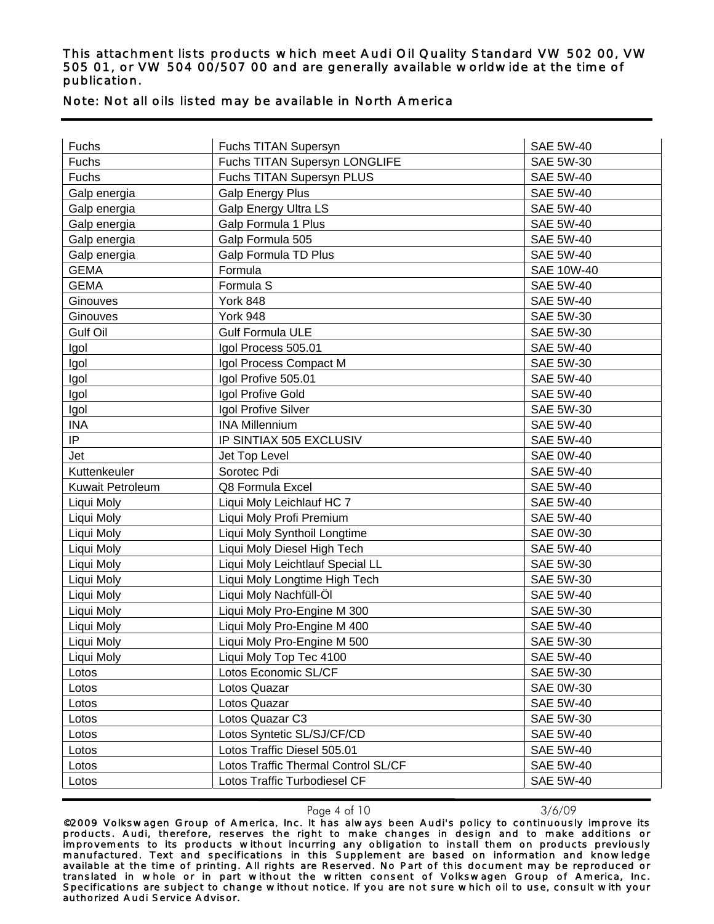| Fuchs                   | Fuchs TITAN Supersyn                | <b>SAE 5W-40</b>  |
|-------------------------|-------------------------------------|-------------------|
| Fuchs                   | Fuchs TITAN Supersyn LONGLIFE       | <b>SAE 5W-30</b>  |
| Fuchs                   | Fuchs TITAN Supersyn PLUS           | <b>SAE 5W-40</b>  |
| Galp energia            | <b>Galp Energy Plus</b>             | <b>SAE 5W-40</b>  |
| Galp energia            | <b>Galp Energy Ultra LS</b>         | <b>SAE 5W-40</b>  |
| Galp energia            | Galp Formula 1 Plus                 | <b>SAE 5W-40</b>  |
| Galp energia            | Galp Formula 505                    | <b>SAE 5W-40</b>  |
| Galp energia            | <b>Galp Formula TD Plus</b>         | <b>SAE 5W-40</b>  |
| <b>GEMA</b>             | Formula                             | <b>SAE 10W-40</b> |
| <b>GEMA</b>             | Formula S                           | <b>SAE 5W-40</b>  |
| Ginouves                | York 848                            | <b>SAE 5W-40</b>  |
| Ginouves                | York 948                            | <b>SAE 5W-30</b>  |
| Gulf Oil                | <b>Gulf Formula ULE</b>             | <b>SAE 5W-30</b>  |
| Igol                    | Igol Process 505.01                 | <b>SAE 5W-40</b>  |
| Igol                    | Igol Process Compact M              | <b>SAE 5W-30</b>  |
| Igol                    | Igol Profive 505.01                 | <b>SAE 5W-40</b>  |
| Igol                    | Igol Profive Gold                   | <b>SAE 5W-40</b>  |
| Igol                    | Igol Profive Silver                 | <b>SAE 5W-30</b>  |
| <b>INA</b>              | <b>INA Millennium</b>               | <b>SAE 5W-40</b>  |
| IP                      | IP SINTIAX 505 EXCLUSIV             | <b>SAE 5W-40</b>  |
| Jet                     | Jet Top Level                       | <b>SAE 0W-40</b>  |
| Kuttenkeuler            | Sorotec Pdi                         | <b>SAE 5W-40</b>  |
| <b>Kuwait Petroleum</b> | Q8 Formula Excel                    | <b>SAE 5W-40</b>  |
| Liqui Moly              | Liqui Moly Leichlauf HC 7           | <b>SAE 5W-40</b>  |
| Liqui Moly              | Liqui Moly Profi Premium            | <b>SAE 5W-40</b>  |
| Liqui Moly              | Liqui Moly Synthoil Longtime        | <b>SAE 0W-30</b>  |
| Liqui Moly              | Liqui Moly Diesel High Tech         | <b>SAE 5W-40</b>  |
| Liqui Moly              | Liqui Moly Leichtlauf Special LL    | SAE 5W-30         |
| Liqui Moly              | Liqui Moly Longtime High Tech       | <b>SAE 5W-30</b>  |
| Liqui Moly              | Liqui Moly Nachfüll-Öl              | <b>SAE 5W-40</b>  |
| Liqui Moly              | Liqui Moly Pro-Engine M 300         | <b>SAE 5W-30</b>  |
| Liqui Moly              | Liqui Moly Pro-Engine M 400         | <b>SAE 5W-40</b>  |
| Liqui Moly              | Liqui Moly Pro-Engine M 500         | <b>SAE 5W-30</b>  |
| Liqui Moly              | Liqui Moly Top Tec 4100             | SAE 5W-40         |
| Lotos                   | Lotos Economic SL/CF                | SAE 5W-30         |
| Lotos                   | Lotos Quazar                        | <b>SAE 0W-30</b>  |
| Lotos                   | Lotos Quazar                        | <b>SAE 5W-40</b>  |
| Lotos                   | Lotos Quazar C3                     | SAE 5W-30         |
| Lotos                   | Lotos Syntetic SL/SJ/CF/CD          | <b>SAE 5W-40</b>  |
| Lotos                   | Lotos Traffic Diesel 505.01         | <b>SAE 5W-40</b>  |
| Lotos                   | Lotos Traffic Thermal Control SL/CF | <b>SAE 5W-40</b>  |

## Note: Not all oils listed may be available in North America

Page 4 of 10 3/6/09

Lotos Lotos Traffic Turbodiesel CF SAE 5W-40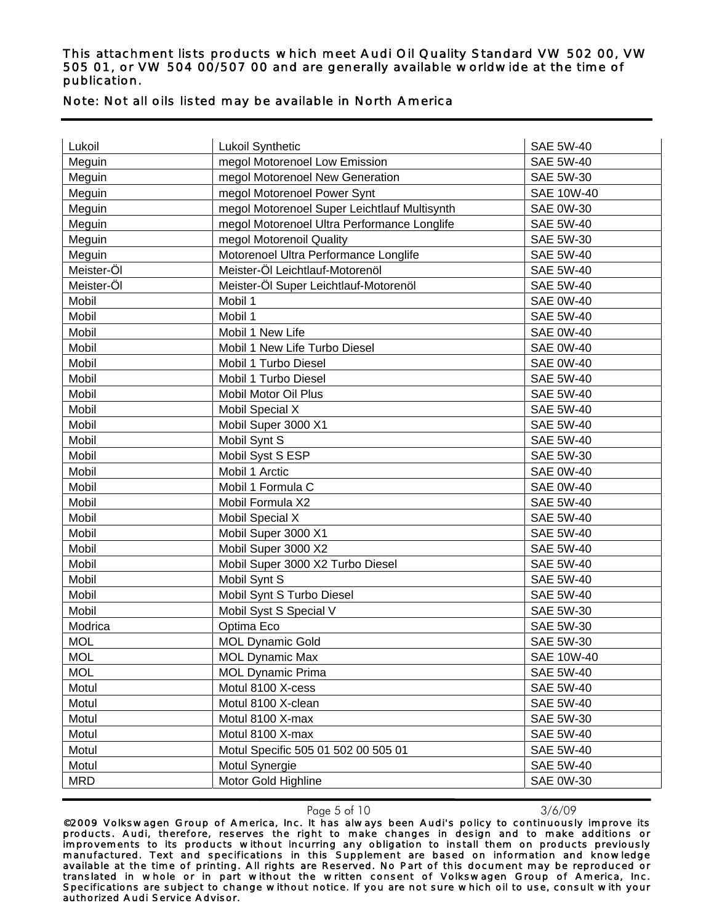## Note: Not all oils listed may be available in North America

| Lukoil     | Lukoil Synthetic                             | <b>SAE 5W-40</b>  |
|------------|----------------------------------------------|-------------------|
| Meguin     | megol Motorenoel Low Emission                | <b>SAE 5W-40</b>  |
| Meguin     | megol Motorenoel New Generation              | <b>SAE 5W-30</b>  |
| Meguin     | megol Motorenoel Power Synt                  | <b>SAE 10W-40</b> |
| Meguin     | megol Motorenoel Super Leichtlauf Multisynth | <b>SAE 0W-30</b>  |
| Meguin     | megol Motorenoel Ultra Performance Longlife  | <b>SAE 5W-40</b>  |
| Meguin     | megol Motorenoil Quality                     | <b>SAE 5W-30</b>  |
| Meguin     | Motorenoel Ultra Performance Longlife        | <b>SAE 5W-40</b>  |
| Meister-Öl | Meister-Öl Leichtlauf-Motorenöl              | <b>SAE 5W-40</b>  |
| Meister-Öl | Meister-Öl Super Leichtlauf-Motorenöl        | <b>SAE 5W-40</b>  |
| Mobil      | Mobil 1                                      | <b>SAE 0W-40</b>  |
| Mobil      | Mobil 1                                      | <b>SAE 5W-40</b>  |
| Mobil      | Mobil 1 New Life                             | <b>SAE 0W-40</b>  |
| Mobil      | Mobil 1 New Life Turbo Diesel                | <b>SAE 0W-40</b>  |
| Mobil      | Mobil 1 Turbo Diesel                         | <b>SAE 0W-40</b>  |
| Mobil      | Mobil 1 Turbo Diesel                         | <b>SAE 5W-40</b>  |
| Mobil      | Mobil Motor Oil Plus                         | <b>SAE 5W-40</b>  |
| Mobil      | <b>Mobil Special X</b>                       | <b>SAE 5W-40</b>  |
| Mobil      | Mobil Super 3000 X1                          | <b>SAE 5W-40</b>  |
| Mobil      | Mobil Synt S                                 | <b>SAE 5W-40</b>  |
| Mobil      | Mobil Syst S ESP                             | <b>SAE 5W-30</b>  |
| Mobil      | Mobil 1 Arctic                               | <b>SAE 0W-40</b>  |
| Mobil      | Mobil 1 Formula C                            | <b>SAE 0W-40</b>  |
| Mobil      | Mobil Formula X2                             | <b>SAE 5W-40</b>  |
| Mobil      | Mobil Special X                              | <b>SAE 5W-40</b>  |
| Mobil      | Mobil Super 3000 X1                          | <b>SAE 5W-40</b>  |
| Mobil      | Mobil Super 3000 X2                          | <b>SAE 5W-40</b>  |
| Mobil      | Mobil Super 3000 X2 Turbo Diesel             | <b>SAE 5W-40</b>  |
| Mobil      | Mobil Synt S                                 | <b>SAE 5W-40</b>  |
| Mobil      | Mobil Synt S Turbo Diesel                    | <b>SAE 5W-40</b>  |
| Mobil      | Mobil Syst S Special V                       | <b>SAE 5W-30</b>  |
| Modrica    | Optima Eco                                   | <b>SAE 5W-30</b>  |
| <b>MOL</b> | <b>MOL Dynamic Gold</b>                      | <b>SAE 5W-30</b>  |
| <b>MOL</b> | <b>MOL Dynamic Max</b>                       | <b>SAE 10W-40</b> |
| <b>MOL</b> | <b>MOL Dynamic Prima</b>                     | <b>SAE 5W-40</b>  |
| Motul      | Motul 8100 X-cess                            | <b>SAE 5W-40</b>  |
| Motul      | Motul 8100 X-clean                           | <b>SAE 5W-40</b>  |
| Motul      | Motul 8100 X-max                             | SAE 5W-30         |
| Motul      | Motul 8100 X-max                             | <b>SAE 5W-40</b>  |
| Motul      | Motul Specific 505 01 502 00 505 01          | <b>SAE 5W-40</b>  |
| Motul      | Motul Synergie                               | <b>SAE 5W-40</b>  |
| <b>MRD</b> | Motor Gold Highline                          | <b>SAE 0W-30</b>  |

Page 5 of 10 3/6/09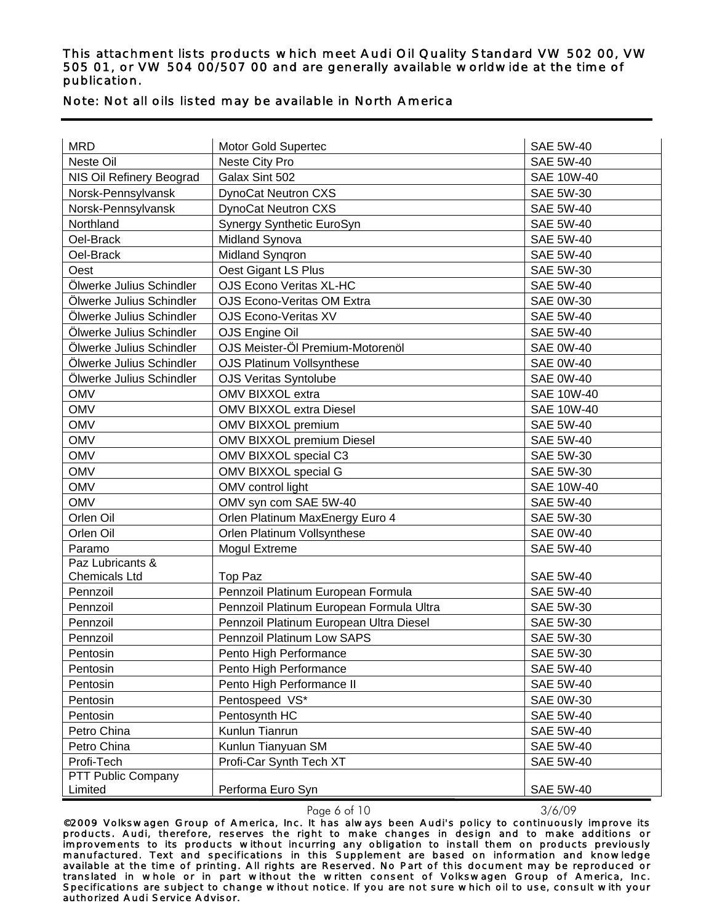| <b>MRD</b>               | <b>Motor Gold Supertec</b>               | <b>SAE 5W-40</b>  |
|--------------------------|------------------------------------------|-------------------|
| Neste Oil                | Neste City Pro                           | <b>SAE 5W-40</b>  |
| NIS Oil Refinery Beograd | Galax Sint 502                           | <b>SAE 10W-40</b> |
| Norsk-Pennsylvansk       | <b>DynoCat Neutron CXS</b>               | SAE 5W-30         |
| Norsk-Pennsylvansk       | <b>DynoCat Neutron CXS</b>               | <b>SAE 5W-40</b>  |
| Northland                | Synergy Synthetic EuroSyn                | <b>SAE 5W-40</b>  |
| Oel-Brack                | Midland Synova                           | <b>SAE 5W-40</b>  |
| Oel-Brack                | Midland Syngron                          | <b>SAE 5W-40</b>  |
| Oest                     | Oest Gigant LS Plus                      | SAE 5W-30         |
| Ölwerke Julius Schindler | <b>OJS Econo Veritas XL-HC</b>           | <b>SAE 5W-40</b>  |
| Ölwerke Julius Schindler | OJS Econo-Veritas OM Extra               | <b>SAE 0W-30</b>  |
| Ölwerke Julius Schindler | OJS Econo-Veritas XV                     | <b>SAE 5W-40</b>  |
| Ölwerke Julius Schindler | OJS Engine Oil                           | <b>SAE 5W-40</b>  |
| Ölwerke Julius Schindler | OJS Meister-Öl Premium-Motorenöl         | <b>SAE 0W-40</b>  |
| Ölwerke Julius Schindler | <b>OJS Platinum Vollsynthese</b>         | <b>SAE 0W-40</b>  |
| Ölwerke Julius Schindler | <b>OJS Veritas Syntolube</b>             | <b>SAE 0W-40</b>  |
| <b>OMV</b>               | OMV BIXXOL extra                         | <b>SAE 10W-40</b> |
| <b>OMV</b>               | <b>OMV BIXXOL extra Diesel</b>           | <b>SAE 10W-40</b> |
| <b>OMV</b>               | OMV BIXXOL premium                       | <b>SAE 5W-40</b>  |
| <b>OMV</b>               | OMV BIXXOL premium Diesel                | <b>SAE 5W-40</b>  |
| <b>OMV</b>               | OMV BIXXOL special C3                    | <b>SAE 5W-30</b>  |
| <b>OMV</b>               | OMV BIXXOL special G                     | <b>SAE 5W-30</b>  |
| <b>OMV</b>               | OMV control light                        | SAE 10W-40        |
| <b>OMV</b>               | OMV syn com SAE 5W-40                    | <b>SAE 5W-40</b>  |
| Orlen Oil                | Orlen Platinum MaxEnergy Euro 4          | <b>SAE 5W-30</b>  |
| Orlen Oil                | Orlen Platinum Vollsynthese              | <b>SAE 0W-40</b>  |
| Paramo                   | <b>Mogul Extreme</b>                     | <b>SAE 5W-40</b>  |
| Paz Lubricants &         |                                          |                   |
| <b>Chemicals Ltd</b>     | Top Paz                                  | <b>SAE 5W-40</b>  |
| Pennzoil                 | Pennzoil Platinum European Formula       | <b>SAE 5W-40</b>  |
| Pennzoil                 | Pennzoil Platinum European Formula Ultra | <b>SAE 5W-30</b>  |
| Pennzoil                 | Pennzoil Platinum European Ultra Diesel  | <b>SAE 5W-30</b>  |
| Pennzoil                 | Pennzoil Platinum Low SAPS               | <b>SAE 5W-30</b>  |
| Pentosin                 | Pento High Performance                   | <b>SAE 5W-30</b>  |
| Pentosin                 | Pento High Performance                   | <b>SAE 5W-40</b>  |
| Pentosin                 | Pento High Performance II                | <b>SAE 5W-40</b>  |
| Pentosin                 | Pentospeed VS*                           | <b>SAE 0W-30</b>  |
| Pentosin                 | Pentosynth HC                            | <b>SAE 5W-40</b>  |
| Petro China              | Kunlun Tianrun                           | <b>SAE 5W-40</b>  |
| Petro China              | Kunlun Tianyuan SM                       | <b>SAE 5W-40</b>  |
| Profi-Tech               | Profi-Car Synth Tech XT                  | <b>SAE 5W-40</b>  |
| PTT Public Company       |                                          |                   |
| Limited                  | Performa Euro Syn                        | <b>SAE 5W-40</b>  |

### Note: Not all oils listed may be available in North America

Page 6 of 10 3/6/09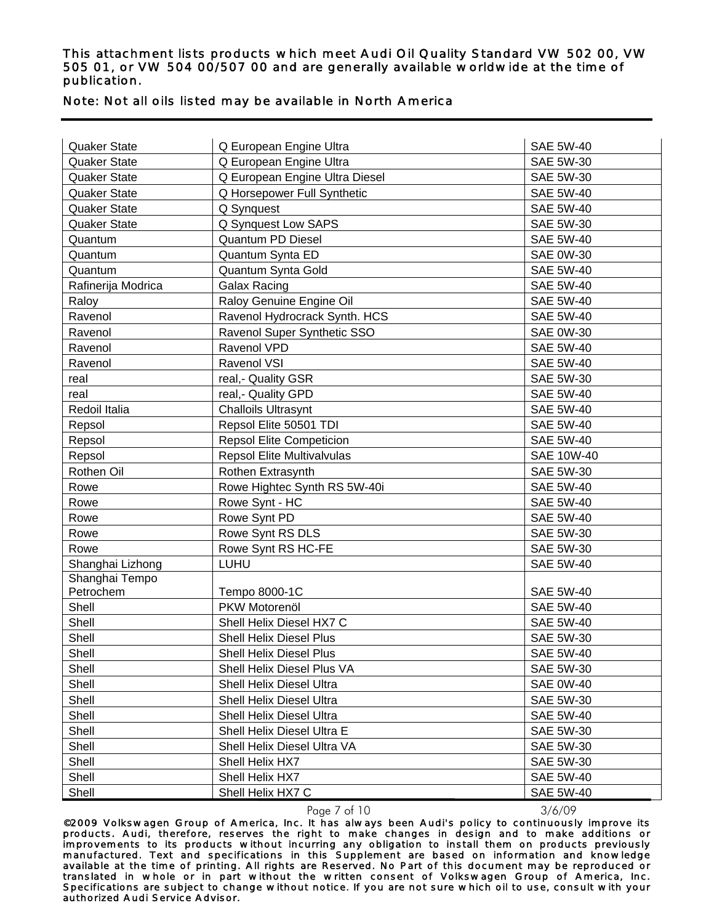### Note: Not all oils listed may be available in North America

| <b>Quaker State</b> | Q European Engine Ultra           | <b>SAE 5W-40</b>  |
|---------------------|-----------------------------------|-------------------|
| <b>Quaker State</b> | Q European Engine Ultra           | <b>SAE 5W-30</b>  |
| <b>Quaker State</b> | Q European Engine Ultra Diesel    | <b>SAE 5W-30</b>  |
| Quaker State        | Q Horsepower Full Synthetic       | <b>SAE 5W-40</b>  |
| <b>Quaker State</b> | Q Synquest                        | <b>SAE 5W-40</b>  |
| <b>Quaker State</b> | Q Synquest Low SAPS               | <b>SAE 5W-30</b>  |
| Quantum             | <b>Quantum PD Diesel</b>          | <b>SAE 5W-40</b>  |
| Quantum             | Quantum Synta ED                  | <b>SAE 0W-30</b>  |
| Quantum             | Quantum Synta Gold                | <b>SAE 5W-40</b>  |
| Rafinerija Modrica  | <b>Galax Racing</b>               | <b>SAE 5W-40</b>  |
| Raloy               | Raloy Genuine Engine Oil          | <b>SAE 5W-40</b>  |
| Ravenol             | Ravenol Hydrocrack Synth. HCS     | <b>SAE 5W-40</b>  |
| Ravenol             | Ravenol Super Synthetic SSO       | <b>SAE 0W-30</b>  |
| Ravenol             | Ravenol VPD                       | <b>SAE 5W-40</b>  |
| Ravenol             | Ravenol VSI                       | <b>SAE 5W-40</b>  |
| real                | real,- Quality GSR                | <b>SAE 5W-30</b>  |
| real                | real,- Quality GPD                | <b>SAE 5W-40</b>  |
| Redoil Italia       | <b>Challoils Ultrasynt</b>        | <b>SAE 5W-40</b>  |
| Repsol              | Repsol Elite 50501 TDI            | <b>SAE 5W-40</b>  |
| Repsol              | <b>Repsol Elite Competicion</b>   | <b>SAE 5W-40</b>  |
| Repsol              | <b>Repsol Elite Multivalvulas</b> | <b>SAE 10W-40</b> |
| Rothen Oil          | Rothen Extrasynth                 | <b>SAE 5W-30</b>  |
| Rowe                | Rowe Hightec Synth RS 5W-40i      | <b>SAE 5W-40</b>  |
| Rowe                | Rowe Synt - HC                    | <b>SAE 5W-40</b>  |
| Rowe                | Rowe Synt PD                      | <b>SAE 5W-40</b>  |
| Rowe                | Rowe Synt RS DLS                  | <b>SAE 5W-30</b>  |
| Rowe                | Rowe Synt RS HC-FE                | <b>SAE 5W-30</b>  |
| Shanghai Lizhong    | LUHU                              | <b>SAE 5W-40</b>  |
| Shanghai Tempo      |                                   |                   |
| Petrochem           | Tempo 8000-1C                     | <b>SAE 5W-40</b>  |
| Shell               | PKW Motorenöl                     | <b>SAE 5W-40</b>  |
| Shell               | Shell Helix Diesel HX7 C          | <b>SAE 5W-40</b>  |
| Shell               | Shell Helix Diesel Plus           | <b>SAE 5W-30</b>  |
| Shell               | Shell Helix Diesel Plus           | <b>SAE 5W-40</b>  |
| Shell               | Shell Helix Diesel Plus VA        | SAE 5W-30         |
| Shell               | Shell Helix Diesel Ultra          | <b>SAE 0W-40</b>  |
| Shell               | Shell Helix Diesel Ultra          | SAE 5W-30         |
| Shell               | Shell Helix Diesel Ultra          | <b>SAE 5W-40</b>  |
| Shell               | Shell Helix Diesel Ultra E        | SAE 5W-30         |
| Shell               | Shell Helix Diesel Ultra VA       | SAE 5W-30         |
| Shell               | Shell Helix HX7                   | SAE 5W-30         |
| Shell               | Shell Helix HX7                   | <b>SAE 5W-40</b>  |
| Shell               | Shell Helix HX7 C                 | <b>SAE 5W-40</b>  |

Page 7 of 10 3/6/09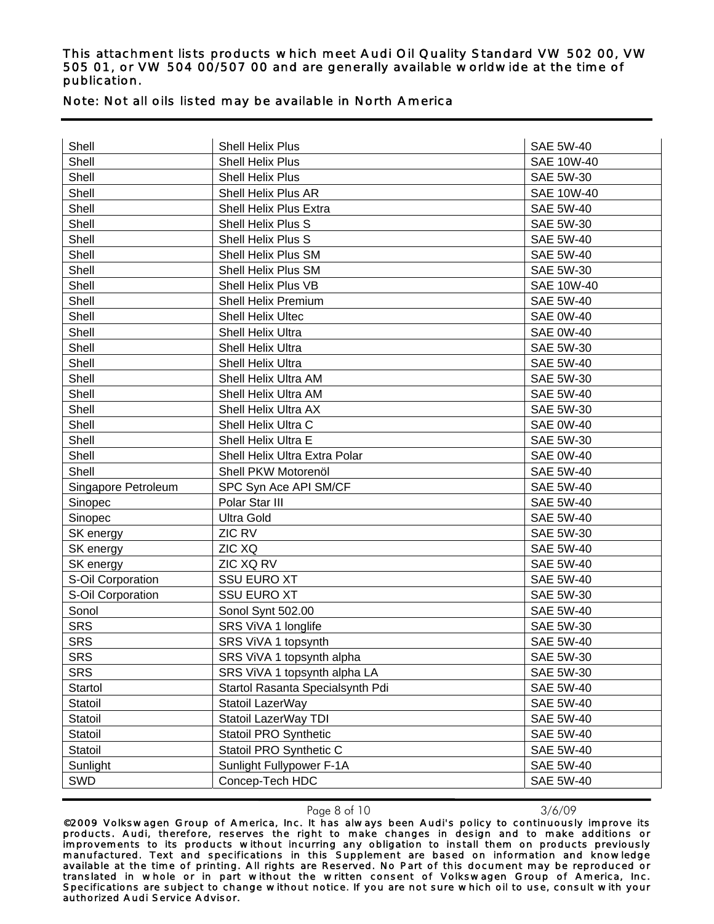## Note: Not all oils listed may be available in North America

| Shell               | Shell Helix Plus                 | <b>SAE 5W-40</b>  |
|---------------------|----------------------------------|-------------------|
| Shell               | Shell Helix Plus                 | <b>SAE 10W-40</b> |
| Shell               | Shell Helix Plus                 | <b>SAE 5W-30</b>  |
| Shell               | Shell Helix Plus AR              | <b>SAE 10W-40</b> |
| Shell               | Shell Helix Plus Extra           | <b>SAE 5W-40</b>  |
| Shell               | Shell Helix Plus S               | <b>SAE 5W-30</b>  |
| Shell               | Shell Helix Plus S               | <b>SAE 5W-40</b>  |
| Shell               | Shell Helix Plus SM              | <b>SAE 5W-40</b>  |
| Shell               | Shell Helix Plus SM              | <b>SAE 5W-30</b>  |
| Shell               | Shell Helix Plus VB              | <b>SAE 10W-40</b> |
| Shell               | Shell Helix Premium              | <b>SAE 5W-40</b>  |
| Shell               | Shell Helix Ultec                | <b>SAE 0W-40</b>  |
| Shell               | Shell Helix Ultra                | <b>SAE 0W-40</b>  |
| Shell               | <b>Shell Helix Ultra</b>         | <b>SAE 5W-30</b>  |
| Shell               | <b>Shell Helix Ultra</b>         | <b>SAE 5W-40</b>  |
| Shell               | Shell Helix Ultra AM             | <b>SAE 5W-30</b>  |
| Shell               | Shell Helix Ultra AM             | <b>SAE 5W-40</b>  |
| Shell               | Shell Helix Ultra AX             | <b>SAE 5W-30</b>  |
| Shell               | Shell Helix Ultra C              | <b>SAE 0W-40</b>  |
| Shell               | Shell Helix Ultra E              | <b>SAE 5W-30</b>  |
| Shell               | Shell Helix Ultra Extra Polar    | <b>SAE 0W-40</b>  |
| Shell               | Shell PKW Motorenöl              | <b>SAE 5W-40</b>  |
| Singapore Petroleum | SPC Syn Ace API SM/CF            | <b>SAE 5W-40</b>  |
| Sinopec             | Polar Star III                   | <b>SAE 5W-40</b>  |
| Sinopec             | <b>Ultra Gold</b>                | <b>SAE 5W-40</b>  |
| SK energy           | ZIC RV                           | <b>SAE 5W-30</b>  |
| SK energy           | <b>ZIC XQ</b>                    | <b>SAE 5W-40</b>  |
| SK energy           | ZIC XQ RV                        | <b>SAE 5W-40</b>  |
| S-Oil Corporation   | <b>SSU EURO XT</b>               | <b>SAE 5W-40</b>  |
| S-Oil Corporation   | <b>SSU EURO XT</b>               | <b>SAE 5W-30</b>  |
| Sonol               | Sonol Synt 502.00                | <b>SAE 5W-40</b>  |
| <b>SRS</b>          | SRS ViVA 1 longlife              | <b>SAE 5W-30</b>  |
| <b>SRS</b>          | SRS ViVA 1 topsynth              | <b>SAE 5W-40</b>  |
| SRS                 | SRS ViVA 1 topsynth alpha        | SAE 5W-30         |
| <b>SRS</b>          | SRS ViVA 1 topsynth alpha LA     | <b>SAE 5W-30</b>  |
| Startol             | Startol Rasanta Specialsynth Pdi | <b>SAE 5W-40</b>  |
| Statoil             | Statoil LazerWay                 | <b>SAE 5W-40</b>  |
| Statoil             | Statoil LazerWay TDI             | <b>SAE 5W-40</b>  |
| Statoil             | <b>Statoil PRO Synthetic</b>     | <b>SAE 5W-40</b>  |
| Statoil             | Statoil PRO Synthetic C          | <b>SAE 5W-40</b>  |
| Sunlight            | Sunlight Fullypower F-1A         | <b>SAE 5W-40</b>  |
| SWD                 | Concep-Tech HDC                  | <b>SAE 5W-40</b>  |

Page 8 of 10 3/6/09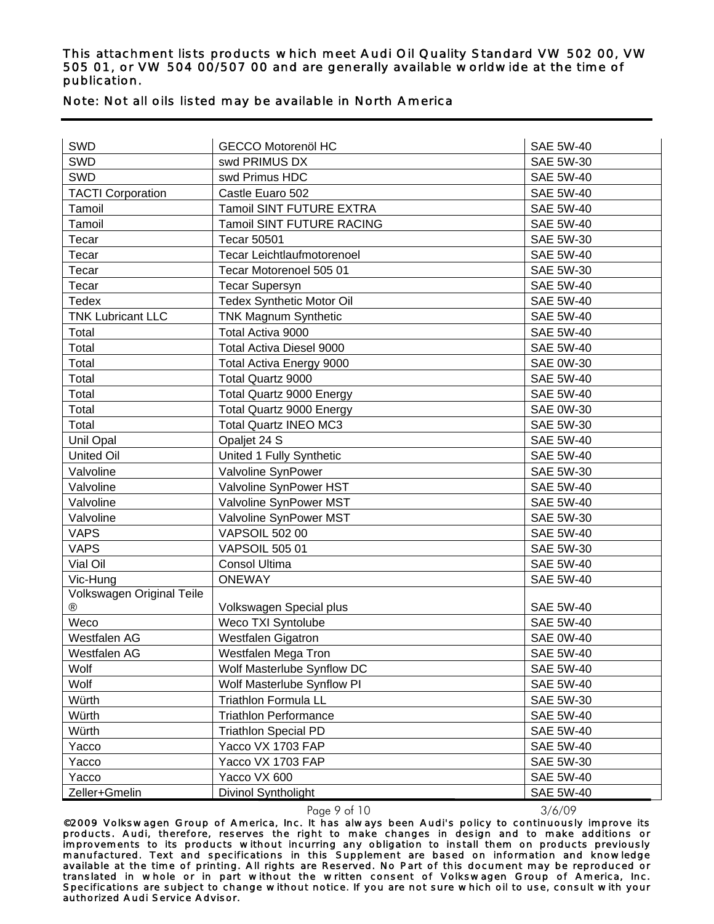## Note: Not all oils listed may be available in North America

| SWD                       | <b>GECCO Motorenöl HC</b>        | <b>SAE 5W-40</b> |
|---------------------------|----------------------------------|------------------|
| SWD                       | swd PRIMUS DX                    | <b>SAE 5W-30</b> |
| SWD                       | swd Primus HDC                   | <b>SAE 5W-40</b> |
| <b>TACTI Corporation</b>  | Castle Euaro 502                 | <b>SAE 5W-40</b> |
| Tamoil                    | Tamoil SINT FUTURE EXTRA         | <b>SAE 5W-40</b> |
| Tamoil                    | <b>Tamoil SINT FUTURE RACING</b> | <b>SAE 5W-40</b> |
| Tecar                     | <b>Tecar 50501</b>               | <b>SAE 5W-30</b> |
| Tecar                     | Tecar Leichtlaufmotorenoel       | <b>SAE 5W-40</b> |
| Tecar                     | Tecar Motorenoel 505 01          | <b>SAE 5W-30</b> |
| Tecar                     | <b>Tecar Supersyn</b>            | <b>SAE 5W-40</b> |
| Tedex                     | <b>Tedex Synthetic Motor Oil</b> | <b>SAE 5W-40</b> |
| <b>TNK Lubricant LLC</b>  | <b>TNK Magnum Synthetic</b>      | <b>SAE 5W-40</b> |
| Total                     | Total Activa 9000                | <b>SAE 5W-40</b> |
| Total                     | <b>Total Activa Diesel 9000</b>  | <b>SAE 5W-40</b> |
| Total                     | Total Activa Energy 9000         | <b>SAE 0W-30</b> |
| Total                     | Total Quartz 9000                | <b>SAE 5W-40</b> |
| Total                     | <b>Total Quartz 9000 Energy</b>  | <b>SAE 5W-40</b> |
| Total                     | <b>Total Quartz 9000 Energy</b>  | <b>SAE 0W-30</b> |
| Total                     | <b>Total Quartz INEO MC3</b>     | <b>SAE 5W-30</b> |
| Unil Opal                 | Opaljet 24 S                     | <b>SAE 5W-40</b> |
| <b>United Oil</b>         | United 1 Fully Synthetic         | <b>SAE 5W-40</b> |
| Valvoline                 | Valvoline SynPower               | <b>SAE 5W-30</b> |
| Valvoline                 | Valvoline SynPower HST           | <b>SAE 5W-40</b> |
| Valvoline                 | Valvoline SynPower MST           | <b>SAE 5W-40</b> |
| Valvoline                 | Valvoline SynPower MST           | <b>SAE 5W-30</b> |
| <b>VAPS</b>               | <b>VAPSOIL 502 00</b>            | <b>SAE 5W-40</b> |
| <b>VAPS</b>               | <b>VAPSOIL 505 01</b>            | <b>SAE 5W-30</b> |
| Vial Oil                  | Consol Ultima                    | <b>SAE 5W-40</b> |
| Vic-Hung                  | <b>ONEWAY</b>                    | <b>SAE 5W-40</b> |
| Volkswagen Original Teile |                                  |                  |
| ®                         | Volkswagen Special plus          | <b>SAE 5W-40</b> |
| Weco                      | Weco TXI Syntolube               | <b>SAE 5W-40</b> |
| Westfalen AG              | Westfalen Gigatron               | <b>SAE 0W-40</b> |
| Westfalen AG              | Westfalen Mega Tron              | <b>SAE 5W-40</b> |
| Wolf                      | Wolf Masterlube Synflow DC       | <b>SAE 5W-40</b> |
| Wolf                      | Wolf Masterlube Synflow PI       | <b>SAE 5W-40</b> |
| Würth                     | <b>Triathlon Formula LL</b>      | SAE 5W-30        |
| Würth                     | <b>Triathlon Performance</b>     | <b>SAE 5W-40</b> |
| Würth                     | <b>Triathlon Special PD</b>      | <b>SAE 5W-40</b> |
| Yacco                     | Yacco VX 1703 FAP                | <b>SAE 5W-40</b> |
| Yacco                     | Yacco VX 1703 FAP                | SAE 5W-30        |
| Yacco                     | Yacco VX 600                     | <b>SAE 5W-40</b> |
| Zeller+Gmelin             | Divinol Syntholight              | <b>SAE 5W-40</b> |

Page 9 of 10 3/6/09